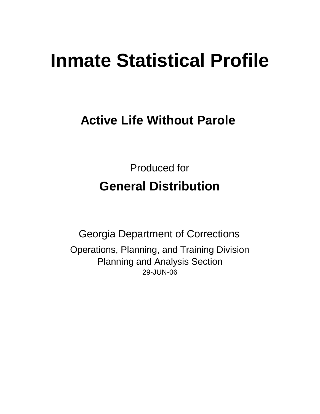# **Inmate Statistical Profile**

## **Active Life Without Parole**

Produced for **General Distribution**

29-JUN-06 Georgia Department of Corrections Operations, Planning, and Training Division Planning and Analysis Section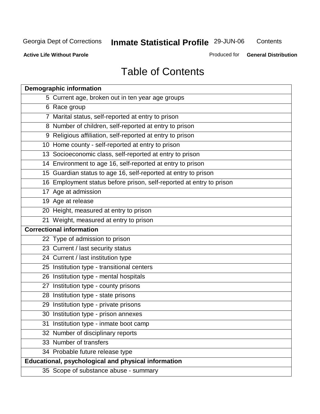**Contents** 

**Active Life Without Parole** 

Produced for **General Distribution**

## Table of Contents

| <b>Demographic information</b>                                       |
|----------------------------------------------------------------------|
| 5 Current age, broken out in ten year age groups                     |
| 6 Race group                                                         |
| 7 Marital status, self-reported at entry to prison                   |
| 8 Number of children, self-reported at entry to prison               |
| 9 Religious affiliation, self-reported at entry to prison            |
| 10 Home county - self-reported at entry to prison                    |
| 13 Socioeconomic class, self-reported at entry to prison             |
| 14 Environment to age 16, self-reported at entry to prison           |
| 15 Guardian status to age 16, self-reported at entry to prison       |
| 16 Employment status before prison, self-reported at entry to prison |
| 17 Age at admission                                                  |
| 19 Age at release                                                    |
| 20 Height, measured at entry to prison                               |
| 21 Weight, measured at entry to prison                               |
| <b>Correctional information</b>                                      |
| 22 Type of admission to prison                                       |
| 23 Current / last security status                                    |
| 24 Current / last institution type                                   |
| 25 Institution type - transitional centers                           |
| 26 Institution type - mental hospitals                               |
| 27 Institution type - county prisons                                 |
| 28 Institution type - state prisons                                  |
| 29 Institution type - private prisons                                |
| 30 Institution type - prison annexes                                 |
| 31 Institution type - inmate boot camp                               |
| 32 Number of disciplinary reports                                    |
| 33 Number of transfers                                               |
| 34 Probable future release type                                      |
| <b>Educational, psychological and physical information</b>           |
| 35 Scope of substance abuse - summary                                |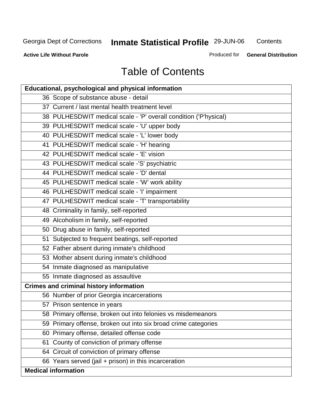**Contents** 

**Active Life Without Parole** 

Produced for **General Distribution**

## Table of Contents

| <b>Educational, psychological and physical information</b>       |
|------------------------------------------------------------------|
| 36 Scope of substance abuse - detail                             |
| 37 Current / last mental health treatment level                  |
| 38 PULHESDWIT medical scale - 'P' overall condition ('P'hysical) |
| 39 PULHESDWIT medical scale - 'U' upper body                     |
| 40 PULHESDWIT medical scale - 'L' lower body                     |
| 41 PULHESDWIT medical scale - 'H' hearing                        |
| 42 PULHESDWIT medical scale - 'E' vision                         |
| 43 PULHESDWIT medical scale -'S' psychiatric                     |
| 44 PULHESDWIT medical scale - 'D' dental                         |
| 45 PULHESDWIT medical scale - 'W' work ability                   |
| 46 PULHESDWIT medical scale - 'I' impairment                     |
| 47 PULHESDWIT medical scale - 'T' transportability               |
| 48 Criminality in family, self-reported                          |
| 49 Alcoholism in family, self-reported                           |
| 50 Drug abuse in family, self-reported                           |
| 51 Subjected to frequent beatings, self-reported                 |
| 52 Father absent during inmate's childhood                       |
| 53 Mother absent during inmate's childhood                       |
| 54 Inmate diagnosed as manipulative                              |
| 55 Inmate diagnosed as assaultive                                |
| <b>Crimes and criminal history information</b>                   |
| 56 Number of prior Georgia incarcerations                        |
| 57 Prison sentence in years                                      |
| 58 Primary offense, broken out into felonies vs misdemeanors     |
| 59 Primary offense, broken out into six broad crime categories   |
| Primary offense, detailed offense code<br>60                     |
| County of conviction of primary offense<br>61                    |
| Circuit of conviction of primary offense<br>64                   |
| 66 Years served (jail + prison) in this incarceration            |
| <b>Medical information</b>                                       |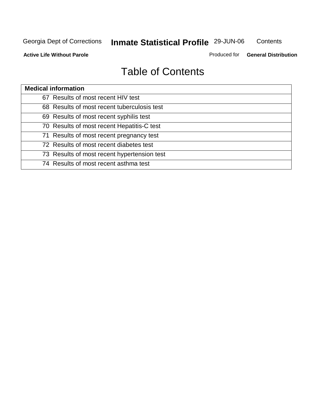**Contents** 

**Active Life Without Parole** 

Produced for **General Distribution**

## Table of Contents

| <b>Medical information</b>                  |
|---------------------------------------------|
| 67 Results of most recent HIV test          |
| 68 Results of most recent tuberculosis test |
| 69 Results of most recent syphilis test     |
| 70 Results of most recent Hepatitis-C test  |
| 71 Results of most recent pregnancy test    |
| 72 Results of most recent diabetes test     |
| 73 Results of most recent hypertension test |
| 74 Results of most recent asthma test       |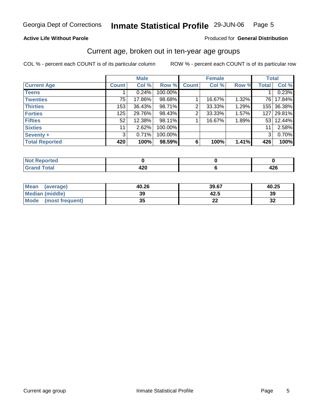#### **Active Life Without Parole**

#### Produced for **General Distribution**

#### Current age, broken out in ten-year age groups

|                       |              | <b>Male</b> |         |                | <b>Female</b> |       | <b>Total</b>     |            |
|-----------------------|--------------|-------------|---------|----------------|---------------|-------|------------------|------------|
| <b>Current Age</b>    | <b>Count</b> | Col %       | Row %   | <b>Count</b>   | Col %         | Row % | <b>Total</b>     | Col %      |
| <b>Teens</b>          |              | 0.24%       | 100.00% |                |               |       |                  | 0.23%      |
| <b>Twenties</b>       | 75           | 17.86%      | 98.68%  |                | 16.67%        | 1.32% | 76 I             | 17.84%     |
| <b>Thirties</b>       | 153          | 36.43%      | 98.71%  | 2              | 33.33%        | 1.29% |                  | 155 36.38% |
| <b>Forties</b>        | 125          | 29.76%      | 98.43%  | $\overline{2}$ | 33.33%        | 1.57% | 127 <sup>1</sup> | 29.81%     |
| <b>Fifties</b>        | 52           | 12.38%      | 98.11%  |                | 16.67%        | 1.89% |                  | 53 12.44%  |
| <b>Sixties</b>        | 11           | 2.62%       | 100.00% |                |               |       | 11               | 2.58%      |
| Seventy +             | 3            | 0.71%       | 100.00% |                |               |       | 3 <sup>1</sup>   | 0.70%      |
| <b>Total Reported</b> | 420          | 100%        | 98.59%  | 6              | 100%          | 1.41% | 426              | 100%       |

| <b>State Administration</b><br>тео |                  |           |
|------------------------------------|------------------|-----------|
| التقريب والمستراخ<br>---           | ה ה<br>. .<br>__ | <br>$+2V$ |

| Mean<br>(average)       | 40.26     | 39.67   | 40.25     |
|-------------------------|-----------|---------|-----------|
| <b>Median (middle)</b>  | 39        | 42.5    | 39        |
| Mode<br>(most frequent) | 25<br>JJ. | 00<br>. | n,<br>ം പ |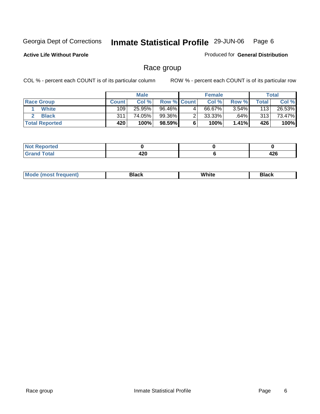**Active Life Without Parole** 

Produced for **General Distribution**

### Race group

|                       |              | <b>Male</b> |             |   | <b>Female</b> |          |       | <b>Total</b> |
|-----------------------|--------------|-------------|-------------|---|---------------|----------|-------|--------------|
| <b>Race Group</b>     | <b>Count</b> | Col %       | Row % Count |   | Col %         | Row %    | Total | Col %        |
| <b>White</b>          | 109          | 25.95%      | 96.46%      | 4 | 66.67%        | $3.54\%$ | 113   | 26.53%       |
| <b>Black</b>          | 311          | 74.05%      | 99.36%      |   | $33.33\%$     | .64%     | 313   | 73.47%       |
| <b>Total Reported</b> | 420          | 100%        | 98.59%      |   | 100%          | $1.41\%$ | 426   | 100%         |

| <b>norted</b><br>- 8000 M<br>.<br>$\sim$ |              |             |
|------------------------------------------|--------------|-------------|
| <b>Total</b>                             | 1 2 N<br>44V | "^^<br>44 U |

| ' M∩<br>nuemn<br> | Black | White | 3lack |
|-------------------|-------|-------|-------|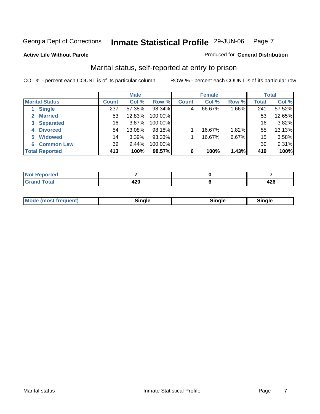#### **Active Life Without Parole**

#### Produced for **General Distribution**

### Marital status, self-reported at entry to prison

|                        |              | <b>Male</b> |         |              | <b>Female</b> |       |              | <b>Total</b> |
|------------------------|--------------|-------------|---------|--------------|---------------|-------|--------------|--------------|
| <b>Marital Status</b>  | <b>Count</b> | Col %       | Row %   | <b>Count</b> | Col %         | Row % | <b>Total</b> | Col %        |
| <b>Single</b>          | 237          | 57.38%      | 98.34%  | 4            | 66.67%        | 1.66% | 241          | 57.52%       |
| <b>Married</b>         | 53           | 12.83%      | 100.00% |              |               |       | 53           | 12.65%       |
| <b>Separated</b><br>3  | 16           | 3.87%       | 100.00% |              |               |       | 16           | 3.82%        |
| <b>Divorced</b><br>4   | 54           | 13.08%      | 98.18%  |              | 16.67%        | 1.82% | 55           | 13.13%       |
| <b>Widowed</b><br>5    | 14           | 3.39%       | 93.33%  |              | 16.67%        | 6.67% | 15           | 3.58%        |
| <b>Common Law</b><br>6 | 39           | 9.44%       | 100.00% |              |               |       | 39           | 9.31%        |
| <b>Total Reported</b>  | 413          | 100%        | 98.57%  | 6            | 100%          | 1.43% | 419          | 100%         |

| rted<br>m.                  |        |      |
|-----------------------------|--------|------|
| $F \wedge f \wedge'$        | - -    | - הי |
| $\sim$ $\sim$ $\sim$ $\sim$ | $\sim$ | 440  |

|  | Mode (most frequent) | Sinale | ∵nαle∶ | male and a |
|--|----------------------|--------|--------|------------|
|--|----------------------|--------|--------|------------|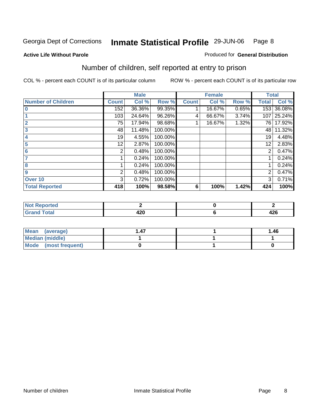Produced for **General Distribution**

#### **Active Life Without Parole**

### Number of children, self reported at entry to prison

|                           |              | <b>Male</b> |         |              | <b>Female</b> |       | <b>Total</b>   |        |
|---------------------------|--------------|-------------|---------|--------------|---------------|-------|----------------|--------|
| <b>Number of Children</b> | <b>Count</b> | Col %       | Row %   | <b>Count</b> | Col %         | Row % | <b>Total</b>   | Col %  |
|                           | 152          | 36.36%      | 99.35%  |              | 16.67%        | 0.65% | 153            | 36.08% |
|                           | 103          | 24.64%      | 96.26%  | 4            | 66.67%        | 3.74% | 107            | 25.24% |
| $\overline{2}$            | 75           | 17.94%      | 98.68%  |              | 16.67%        | 1.32% | 76 I           | 17.92% |
| 3                         | 48           | 11.48%      | 100.00% |              |               |       | 48             | 11.32% |
| 4                         | 19           | 4.55%       | 100.00% |              |               |       | 19             | 4.48%  |
| 5                         | 12           | 2.87%       | 100.00% |              |               |       | 12             | 2.83%  |
| 6                         | 2            | 0.48%       | 100.00% |              |               |       | 2              | 0.47%  |
|                           |              | 0.24%       | 100.00% |              |               |       |                | 0.24%  |
| 8                         |              | 0.24%       | 100.00% |              |               |       |                | 0.24%  |
| 9                         | 2            | 0.48%       | 100.00% |              |               |       | $\overline{2}$ | 0.47%  |
| Over 10                   | 3            | 0.72%       | 100.00% |              |               |       | 3              | 0.71%  |
| <b>Total Reported</b>     | 418          | 100%        | 98.58%  | 6            | 100%          | 1.42% | 424            | 100%   |

| لمنتشر بالتعبين<br>теа   |             |             |
|--------------------------|-------------|-------------|
| $T \wedge t \wedge$<br>- | A n n<br>-- | ハつだ<br>44 U |

| <b>Mean</b><br>(average) |  | 1.46 |
|--------------------------|--|------|
| Median (middle)          |  |      |
| Mode (most frequent)     |  |      |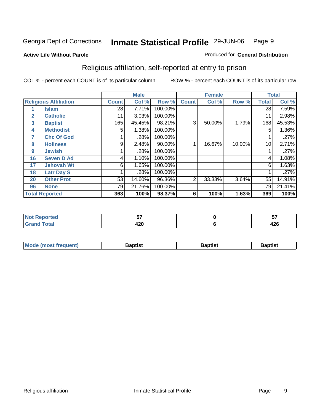#### **Active Life Without Parole**

#### Produced for **General Distribution**

### Religious affiliation, self-reported at entry to prison

|              |                              |                 | <b>Male</b> |         |                | <b>Female</b> |        |              | <b>Total</b> |
|--------------|------------------------------|-----------------|-------------|---------|----------------|---------------|--------|--------------|--------------|
|              | <b>Religious Affiliation</b> | <b>Count</b>    | Col %       | Row %   | <b>Count</b>   | Col %         | Row %  | <b>Total</b> | Col %        |
|              | <b>Islam</b>                 | $\overline{28}$ | 7.71%       | 100.00% |                |               |        | 28           | 7.59%        |
| $\mathbf{2}$ | <b>Catholic</b>              | 11              | 3.03%       | 100.00% |                |               |        | 11           | 2.98%        |
| $\mathbf{3}$ | <b>Baptist</b>               | 165             | 45.45%      | 98.21%  | 3              | 50.00%        | 1.79%  | 168          | 45.53%       |
| 4            | <b>Methodist</b>             | 5               | 1.38%       | 100.00% |                |               |        | 5            | 1.36%        |
| 7            | <b>Chc Of God</b>            |                 | .28%        | 100.00% |                |               |        |              | .27%         |
| 8            | <b>Holiness</b>              | 9               | 2.48%       | 90.00%  |                | 16.67%        | 10.00% | 10           | 2.71%        |
| 9            | <b>Jewish</b>                |                 | .28%        | 100.00% |                |               |        |              | .27%         |
| 16           | <b>Seven D Ad</b>            | 4               | 1.10%       | 100.00% |                |               |        | 4            | 1.08%        |
| 17           | <b>Jehovah Wt</b>            | 6               | 1.65%       | 100.00% |                |               |        | 6            | 1.63%        |
| 18           | <b>Latr Day S</b>            |                 | .28%        | 100.00% |                |               |        |              | .27%         |
| 20           | <b>Other Prot</b>            | 53              | 14.60%      | 96.36%  | $\overline{2}$ | 33.33%        | 3.64%  | 55           | 14.91%       |
| 96           | <b>None</b>                  | 79              | 21.76%      | 100.00% |                |               |        | 79           | 21.41%       |
|              | <b>Total Reported</b>        | 363             | 100%        | 98.37%  | 6              | 100%          | 1.63%  | 369          | 100%         |

| <b>rted</b> | --          | --          |
|-------------|-------------|-------------|
| 'otal       | חרו<br>44 Y | "^^<br>44 U |

| l Mo          | <b>aptist</b> | 3aptist              | Baptis. |
|---------------|---------------|----------------------|---------|
| <b>auent)</b> |               | $\sim$ $\sim$ $\sim$ |         |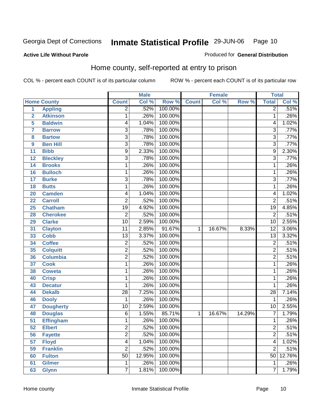Produced for **General Distribution**

#### **Active Life Without Parole**

### Home county, self-reported at entry to prison

|                |                    |                         | <b>Male</b> |         |              | <b>Female</b> |        | <b>Total</b>    |        |
|----------------|--------------------|-------------------------|-------------|---------|--------------|---------------|--------|-----------------|--------|
|                | <b>Home County</b> | <b>Count</b>            | Col %       | Row %   | <b>Count</b> | Col %         | Row %  | <b>Total</b>    | Col %  |
| $\overline{1}$ | <b>Appling</b>     | $\overline{2}$          | .52%        | 100.00% |              |               |        | $\overline{2}$  | .51%   |
| $\overline{2}$ | <b>Atkinson</b>    | 1                       | .26%        | 100.00% |              |               |        | $\mathbf{1}$    | .26%   |
| 5              | <b>Baldwin</b>     | 4                       | 1.04%       | 100.00% |              |               |        | 4               | 1.02%  |
| $\overline{7}$ | <b>Barrow</b>      | 3                       | .78%        | 100.00% |              |               |        | 3               | .77%   |
| 8              | <b>Bartow</b>      | $\overline{3}$          | .78%        | 100.00% |              |               |        | $\overline{3}$  | .77%   |
| 9              | <b>Ben Hill</b>    | $\overline{3}$          | .78%        | 100.00% |              |               |        | $\overline{3}$  | .77%   |
| 11             | <b>Bibb</b>        | $\overline{9}$          | 2.33%       | 100.00% |              |               |        | 9               | 2.30%  |
| 12             | <b>Bleckley</b>    | 3                       | .78%        | 100.00% |              |               |        | $\overline{3}$  | .77%   |
| 14             | <b>Brooks</b>      | 1                       | .26%        | 100.00% |              |               |        | 1               | .26%   |
| 16             | <b>Bulloch</b>     | 1                       | .26%        | 100.00% |              |               |        | $\mathbf{1}$    | .26%   |
| 17             | <b>Burke</b>       | $\overline{3}$          | .78%        | 100.00% |              |               |        | 3               | .77%   |
| 18             | <b>Butts</b>       | 1                       | .26%        | 100.00% |              |               |        | $\mathbf{1}$    | .26%   |
| 20             | <b>Camden</b>      | $\overline{\mathbf{4}}$ | 1.04%       | 100.00% |              |               |        | 4               | 1.02%  |
| 22             | <b>Carroll</b>     | $\overline{2}$          | .52%        | 100.00% |              |               |        | $\overline{2}$  | .51%   |
| 25             | <b>Chatham</b>     | $\overline{19}$         | 4.92%       | 100.00% |              |               |        | 19              | 4.85%  |
| 28             | <b>Cherokee</b>    | $\overline{2}$          | .52%        | 100.00% |              |               |        | $\overline{2}$  | .51%   |
| 29             | <b>Clarke</b>      | $\overline{10}$         | 2.59%       | 100.00% |              |               |        | 10              | 2.55%  |
| 31             | <b>Clayton</b>     | $\overline{11}$         | 2.85%       | 91.67%  | 1            | 16.67%        | 8.33%  | $\overline{12}$ | 3.06%  |
| 33             | <b>Cobb</b>        | $\overline{13}$         | 3.37%       | 100.00% |              |               |        | $\overline{13}$ | 3.32%  |
| 34             | <b>Coffee</b>      | $\overline{2}$          | .52%        | 100.00% |              |               |        | $\overline{2}$  | .51%   |
| 35             | <b>Colquitt</b>    | $\overline{2}$          | .52%        | 100.00% |              |               |        | $\overline{2}$  | .51%   |
| 36             | <b>Columbia</b>    | $\overline{2}$          | .52%        | 100.00% |              |               |        | $\overline{2}$  | .51%   |
| 37             | <b>Cook</b>        | 1                       | .26%        | 100.00% |              |               |        | 1               | .26%   |
| 38             | <b>Coweta</b>      | 1                       | .26%        | 100.00% |              |               |        | $\mathbf{1}$    | .26%   |
| 40             | <b>Crisp</b>       | 1                       | .26%        | 100.00% |              |               |        | $\mathbf 1$     | .26%   |
| 43             | <b>Decatur</b>     | 1                       | .26%        | 100.00% |              |               |        | 1               | .26%   |
| 44             | <b>Dekalb</b>      | $\overline{28}$         | 7.25%       | 100.00% |              |               |        | 28              | 7.14%  |
| 46             | <b>Dooly</b>       | 1                       | .26%        | 100.00% |              |               |        | $\mathbf{1}$    | .26%   |
| 47             | <b>Dougherty</b>   | $\overline{10}$         | 2.59%       | 100.00% |              |               |        | $\overline{10}$ | 2.55%  |
| 48             | <b>Douglas</b>     | 6                       | 1.55%       | 85.71%  | 1            | 16.67%        | 14.29% | 7               | 1.79%  |
| 51             | <b>Effingham</b>   | 1                       | .26%        | 100.00% |              |               |        | 1               | .26%   |
| 52             | <b>Elbert</b>      | $\overline{2}$          | .52%        | 100.00% |              |               |        | $\overline{2}$  | .51%   |
| 56             | <b>Fayette</b>     | $\overline{2}$          | .52%        | 100.00% |              |               |        | $\overline{2}$  | .51%   |
| 57             | <b>Floyd</b>       | 4                       | 1.04%       | 100.00% |              |               |        | 4               | 1.02%  |
| 59             | <b>Franklin</b>    | $\overline{2}$          | .52%        | 100.00% |              |               |        | $\overline{2}$  | .51%   |
| 60             | <b>Fulton</b>      | $\overline{50}$         | 12.95%      | 100.00% |              |               |        | 50              | 12.76% |
| 61             | <b>Gilmer</b>      | $\mathbf{1}$            | .26%        | 100.00% |              |               |        | 1               | .26%   |
| 63             | <b>Glynn</b>       | 7                       | 1.81%       | 100.00% |              |               |        | 7               | 1.79%  |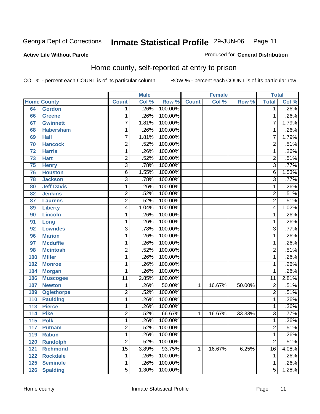Produced for **General Distribution**

#### **Active Life Without Parole**

## Home county, self-reported at entry to prison

|     |                    |                         | <b>Male</b> |         |              | <b>Female</b> |        | <b>Total</b>    |       |
|-----|--------------------|-------------------------|-------------|---------|--------------|---------------|--------|-----------------|-------|
|     | <b>Home County</b> | <b>Count</b>            | Col %       | Row %   | <b>Count</b> | Col %         | Row %  | <b>Total</b>    | Col % |
| 64  | <b>Gordon</b>      | 1                       | .26%        | 100.00% |              |               |        | $\overline{1}$  | .26%  |
| 66  | <b>Greene</b>      | 1                       | .26%        | 100.00% |              |               |        | $\overline{1}$  | .26%  |
| 67  | <b>Gwinnett</b>    | $\overline{7}$          | 1.81%       | 100.00% |              |               |        | $\overline{7}$  | 1.79% |
| 68  | <b>Habersham</b>   | 1                       | .26%        | 100.00% |              |               |        | 1               | .26%  |
| 69  | <b>Hall</b>        | $\overline{7}$          | 1.81%       | 100.00% |              |               |        | $\overline{7}$  | 1.79% |
| 70  | <b>Hancock</b>     | $\overline{2}$          | .52%        | 100.00% |              |               |        | $\overline{2}$  | .51%  |
| 72  | <b>Harris</b>      | $\overline{1}$          | .26%        | 100.00% |              |               |        | $\overline{1}$  | .26%  |
| 73  | <b>Hart</b>        | 2                       | .52%        | 100.00% |              |               |        | $\overline{2}$  | .51%  |
| 75  | <b>Henry</b>       | $\overline{3}$          | .78%        | 100.00% |              |               |        | $\overline{3}$  | .77%  |
| 76  | <b>Houston</b>     | $\overline{6}$          | 1.55%       | 100.00% |              |               |        | $\overline{6}$  | 1.53% |
| 78  | <b>Jackson</b>     | $\overline{3}$          | .78%        | 100.00% |              |               |        | $\overline{3}$  | .77%  |
| 80  | <b>Jeff Davis</b>  | 1                       | .26%        | 100.00% |              |               |        | 1               | .26%  |
| 82  | <b>Jenkins</b>     | $\overline{2}$          | .52%        | 100.00% |              |               |        | $\overline{2}$  | .51%  |
| 87  | <b>Laurens</b>     | $\overline{2}$          | .52%        | 100.00% |              |               |        | $\overline{2}$  | .51%  |
| 89  | <b>Liberty</b>     | $\overline{4}$          | 1.04%       | 100.00% |              |               |        | $\overline{4}$  | 1.02% |
| 90  | <b>Lincoln</b>     | 1                       | .26%        | 100.00% |              |               |        | 1               | .26%  |
| 91  | Long               | 1                       | .26%        | 100.00% |              |               |        | $\overline{1}$  | .26%  |
| 92  | <b>Lowndes</b>     | $\overline{3}$          | .78%        | 100.00% |              |               |        | $\overline{3}$  | .77%  |
| 96  | <b>Marion</b>      | $\overline{1}$          | .26%        | 100.00% |              |               |        | $\overline{1}$  | .26%  |
| 97  | <b>Mcduffie</b>    | 1                       | .26%        | 100.00% |              |               |        | 1               | .26%  |
| 98  | <b>Mcintosh</b>    | $\overline{2}$          | .52%        | 100.00% |              |               |        | $\overline{2}$  | .51%  |
| 100 | <b>Miller</b>      | 1                       | .26%        | 100.00% |              |               |        | $\overline{1}$  | .26%  |
| 102 | <b>Monroe</b>      | 1                       | .26%        | 100.00% |              |               |        | 1               | .26%  |
| 104 | <b>Morgan</b>      | 1                       | .26%        | 100.00% |              |               |        | 1               | .26%  |
| 106 | <b>Muscogee</b>    | $\overline{11}$         | 2.85%       | 100.00% |              |               |        | $\overline{11}$ | 2.81% |
| 107 | <b>Newton</b>      | 1                       | .26%        | 50.00%  | 1            | 16.67%        | 50.00% | $\overline{2}$  | .51%  |
| 109 | <b>Oglethorpe</b>  | $\overline{2}$          | .52%        | 100.00% |              |               |        | $\overline{2}$  | .51%  |
| 110 | <b>Paulding</b>    | 1                       | .26%        | 100.00% |              |               |        | $\overline{1}$  | .26%  |
| 113 | <b>Pierce</b>      | 1                       | .26%        | 100.00% |              |               |        | $\overline{1}$  | .26%  |
| 114 | <b>Pike</b>        | $\overline{2}$          | .52%        | 66.67%  | 1            | 16.67%        | 33.33% | $\overline{3}$  | .77%  |
| 115 | <b>Polk</b>        | $\overline{1}$          | .26%        | 100.00% |              |               |        | $\overline{1}$  | .26%  |
| 117 | <b>Putnam</b>      | $\overline{\mathbf{c}}$ | .52%        | 100.00% |              |               |        | $\overline{c}$  | .51%  |
| 119 | <b>Rabun</b>       | $\overline{1}$          | .26%        | 100.00% |              |               |        | $\overline{1}$  | .26%  |
| 120 | <b>Randolph</b>    | $\overline{2}$          | .52%        | 100.00% |              |               |        | $\overline{2}$  | .51%  |
| 121 | <b>Richmond</b>    | $\overline{15}$         | 3.89%       | 93.75%  | 1            | 16.67%        | 6.25%  | $\overline{16}$ | 4.08% |
| 122 | <b>Rockdale</b>    | 1                       | .26%        | 100.00% |              |               |        | $\mathbf{1}$    | .26%  |
| 125 | <b>Seminole</b>    | 1                       | .26%        | 100.00% |              |               |        | $\overline{1}$  | .26%  |
| 126 | <b>Spalding</b>    | $\overline{5}$          | 1.30%       | 100.00% |              |               |        | $\overline{5}$  | 1.28% |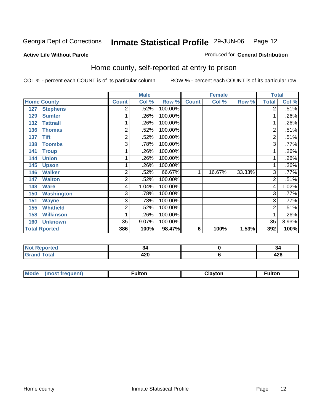Produced for **General Distribution**

#### **Active Life Without Parole**

### Home county, self-reported at entry to prison

|     |                      |                | <b>Male</b> |         |              | <b>Female</b> |        | <b>Total</b>   |         |
|-----|----------------------|----------------|-------------|---------|--------------|---------------|--------|----------------|---------|
|     | <b>Home County</b>   | <b>Count</b>   | Col %       | Row %   | <b>Count</b> | Col %         | Row %  | <b>Total</b>   | Col %   |
| 127 | <b>Stephens</b>      | 2              | .52%        | 100.00% |              |               |        | $\overline{2}$ | .51%    |
| 129 | <b>Sumter</b>        |                | .26%        | 100.00% |              |               |        | 1              | .26%    |
| 132 | <b>Tattnall</b>      |                | .26%        | 100.00% |              |               |        | $\mathbf 1$    | .26%    |
| 136 | <b>Thomas</b>        | $\overline{2}$ | .52%        | 100.00% |              |               |        | $\overline{2}$ | .51%    |
| 137 | <b>Tift</b>          | 2              | .52%        | 100.00% |              |               |        | $\overline{2}$ | .51%    |
| 138 | <b>Toombs</b>        | 3              | .78%        | 100.00% |              |               |        | $\overline{3}$ | .77%    |
| 141 | <b>Troup</b>         |                | .26%        | 100.00% |              |               |        | 1              | $.26\%$ |
| 144 | <b>Union</b>         |                | .26%        | 100.00% |              |               |        | 1              | .26%    |
| 145 | <b>Upson</b>         |                | .26%        | 100.00% |              |               |        | 1.             | .26%    |
| 146 | <b>Walker</b>        | $\overline{2}$ | .52%        | 66.67%  | 1            | 16.67%        | 33.33% | 3              | .77%    |
| 147 | <b>Walton</b>        | 2              | .52%        | 100.00% |              |               |        | $\overline{2}$ | .51%    |
| 148 | <b>Ware</b>          | 4              | 1.04%       | 100.00% |              |               |        | 4              | 1.02%   |
| 150 | <b>Washington</b>    | 3              | .78%        | 100.00% |              |               |        | $\overline{3}$ | .77%    |
| 151 | <b>Wayne</b>         | 3              | .78%        | 100.00% |              |               |        | 3              | .77%    |
| 155 | <b>Whitfield</b>     | 2              | .52%        | 100.00% |              |               |        | $\overline{2}$ | .51%    |
| 158 | <b>Wilkinson</b>     |                | .26%        | 100.00% |              |               |        | 1              | .26%    |
| 160 | <b>Unknown</b>       | 35             | 9.07%       | 100.00% |              |               |        | 35             | 8.93%   |
|     | <b>Total Rported</b> | 386            | 100%        | 98.47%  | 6            | 100%          | 1.53%  | 392            | 100%    |

| <b>Reported</b><br><b>NOT</b><br> |             | 34         |
|-----------------------------------|-------------|------------|
| <b>otal</b>                       | "^^<br>44 U | 196<br>440 |

| <b>Mou</b><br>ıltor<br>$-$<br> | $\sim$ $\sim$ | ultor |
|--------------------------------|---------------|-------|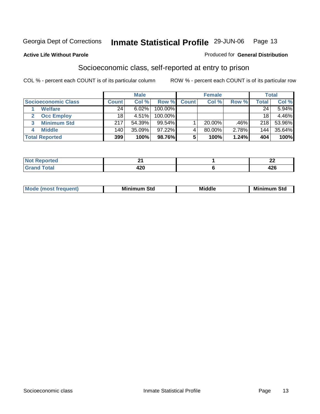#### **Active Life Without Parole**

#### Produced for **General Distribution**

### Socioeconomic class, self-reported at entry to prison

|                            | <b>Male</b><br><b>Female</b> |          |            | <b>Total</b> |           |       |       |        |
|----------------------------|------------------------------|----------|------------|--------------|-----------|-------|-------|--------|
| <b>Socioeconomic Class</b> | <b>Count</b>                 | Col %    | Row %      | <b>Count</b> | Col %     | Row % | Total | Col %  |
| <b>Welfare</b>             | 24                           | 6.02%    | 100.00%    |              |           |       | 24    | 5.94%  |
| <b>Occ Employ</b>          | 18                           | $4.51\%$ | $100.00\%$ |              |           |       | 18    | 4.46%  |
| <b>Minimum Std</b><br>3    | 217                          | 54.39%   | $99.54\%$  |              | $20.00\%$ | .46%  | 218   | 53.96% |
| <b>Middle</b>              | 140 <sub>1</sub>             | 35.09%   | $97.22\%$  |              | $80.00\%$ | 2.78% | 144   | 35.64% |
| <b>Total Reported</b>      | 399                          | 100%     | 98.76%     |              | 100%      | 1.24% | 404   | 100%   |

| المتمتلس<br>тео<br>w   | п.            | - -<br>--   |
|------------------------|---------------|-------------|
| $f \wedge f \wedge f'$ | A O O<br>44 U | 100<br>44 U |

| Mir<br><b>Middle</b><br>Std<br>Std<br>Mını<br>___ |
|---------------------------------------------------|
|---------------------------------------------------|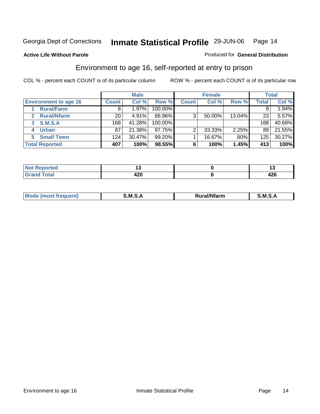#### **Active Life Without Parole**

#### Produced for **General Distribution**

### Environment to age 16, self-reported at entry to prison

|                              |              | <b>Male</b> |           |              | <b>Female</b> |         |       | <b>Total</b> |
|------------------------------|--------------|-------------|-----------|--------------|---------------|---------|-------|--------------|
| <b>Environment to age 16</b> | <b>Count</b> | Col %       | Row %     | <b>Count</b> | Col %         | Row %   | Total | Col %        |
| <b>Rural/Farm</b>            | 8            | 1.97%       | 100.00%   |              |               |         |       | $1.94\%$     |
| <b>Rural/Nfarm</b>           | 20           | 4.91%       | 86.96%    | 3            | 50.00%        | 13.04%  | 23    | 5.57%        |
| <b>S.M.S.A</b><br>3          | 168          | 41.28%      | 100.00%   |              |               |         | 168   | 40.68%       |
| <b>Urban</b>                 | 87           | 21.38%      | 97.75%    |              | 33.33%        | 2.25%   | 89    | 21.55%       |
| <b>Small Town</b><br>5       | 124          | 30.47%      | $99.20\%$ |              | 16.67%        | $.80\%$ | 125   | 30.27%       |
| <b>Total Reported</b>        | 407          | 100%        | 98.55%    |              | 100%          | 1.45%   | 413   | 100%         |

| prted<br><b>Not</b><br>kepo <sup>r</sup> |     |             |
|------------------------------------------|-----|-------------|
| <b>Total</b><br>Grand                    | 420 | "^^<br>44 V |

| $R$ <sub>U</sub> ral/ <sup>k</sup><br>Mo<br>м<br>al/Nfarm<br>11 IAN ti<br>M<br>_____<br>_____ |  |  |
|-----------------------------------------------------------------------------------------------|--|--|
|                                                                                               |  |  |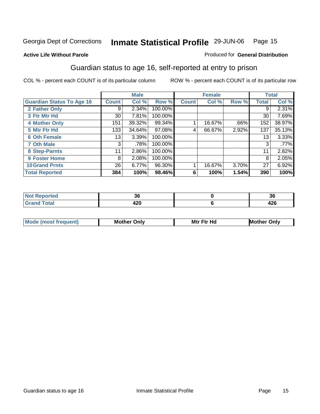#### **Active Life Without Parole**

#### Produced for **General Distribution**

### Guardian status to age 16, self-reported at entry to prison

|                                  |                 | <b>Male</b> |         |              | <b>Female</b> |         |              | <b>Total</b> |
|----------------------------------|-----------------|-------------|---------|--------------|---------------|---------|--------------|--------------|
| <b>Guardian Status To Age 16</b> | <b>Count</b>    | Col %       | Row %   | <b>Count</b> | Col %         | Row %   | <b>Total</b> | Col %        |
| 2 Father Only                    | 9               | 2.34%       | 100.00% |              |               |         | 9            | 2.31%        |
| 3 Ftr Mtr Hd                     | 30 <sub>1</sub> | 7.81%       | 100.00% |              |               |         | 30           | 7.69%        |
| <b>4 Mother Only</b>             | 151             | 39.32%      | 99.34%  |              | 16.67%        | $.66\%$ | 152          | 38.97%       |
| 5 Mtr Ftr Hd                     | 133             | 34.64%      | 97.08%  | 4            | 66.67%        | 2.92%   | 137          | 35.13%       |
| <b>6 Oth Female</b>              | 13              | 3.39%       | 100.00% |              |               |         | 13           | 3.33%        |
| <b>7 Oth Male</b>                | 3               | .78%        | 100.00% |              |               |         | 3            | .77%         |
| 8 Step-Parnts                    | 11              | 2.86%       | 100.00% |              |               |         | 11           | 2.82%        |
| 9 Foster Home                    | 8               | 2.08%       | 100.00% |              |               |         | 8            | 2.05%        |
| <b>10 Grand Prnts</b>            | 26              | $6.77\%$    | 96.30%  |              | 16.67%        | 3.70%   | 27           | 6.92%        |
| <b>Total Reported</b>            | 384             | 100%        | 98.46%  | 6            | 100%          | 1.54%   | 390          | 100%         |

| . .           | υc                          |
|---------------|-----------------------------|
| ---<br>$\sim$ | $\sim$ $\sim$<br>- 74<br>__ |

| <b>Mod</b> | <b>Mother</b><br>Onlv | Hc<br>. <u>.</u><br>Mtr | Only |
|------------|-----------------------|-------------------------|------|
|            |                       |                         |      |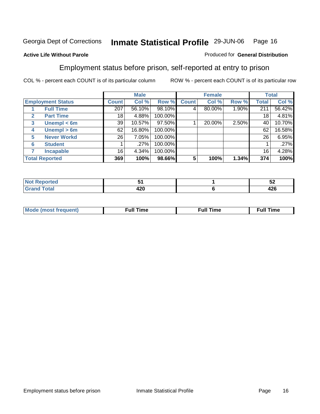#### **Active Life Without Parole**

#### Produced for **General Distribution**

### Employment status before prison, self-reported at entry to prison

|                                  |              | <b>Male</b> |         |              | <b>Female</b> |       |       | <b>Total</b> |
|----------------------------------|--------------|-------------|---------|--------------|---------------|-------|-------|--------------|
| <b>Employment Status</b>         | <b>Count</b> | Col %       | Row %   | <b>Count</b> | Col %         | Row % | Total | Col %        |
| <b>Full Time</b>                 | 207          | 56.10%      | 98.10%  | 4            | 80.00%        | 1.90% | 211   | 56.42%       |
| <b>Part Time</b><br>$\mathbf{2}$ | 18           | 4.88%       | 100.00% |              |               |       | 18    | 4.81%        |
| Unempl $<$ 6m<br>3               | 39           | 10.57%      | 97.50%  |              | 20.00%        | 2.50% | 40    | 10.70%       |
| Unempl > 6m<br>4                 | 62           | 16.80%      | 100.00% |              |               |       | 62    | 16.58%       |
| <b>Never Workd</b><br>5          | 26           | 7.05%       | 100.00% |              |               |       | 26    | 6.95%        |
| <b>Student</b><br>6              |              | .27%        | 100.00% |              |               |       |       | .27%         |
| <b>Incapable</b>                 | 16           | 4.34%       | 100.00% |              |               |       | 16    | 4.28%        |
| <b>Total Reported</b>            | 369          | 100%        | 98.66%  | 5            | 100%          | 1.34% | 374   | 100%         |

|               | $\sim$      | --<br>◡▴    |
|---------------|-------------|-------------|
| $- - - - - -$ | . מ<br>44 U | 10C<br>44 U |

| Mo | un | ur<br>the contract of the contract of the contract of the contract of the contract of the contract of the contract of | <b>Full Time</b> |
|----|----|-----------------------------------------------------------------------------------------------------------------------|------------------|
|    |    |                                                                                                                       |                  |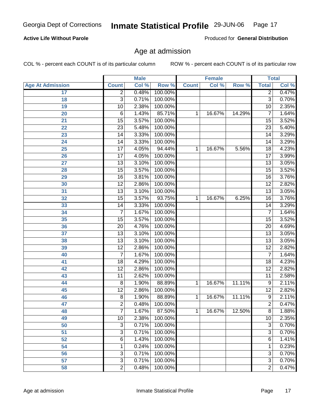#### **Active Life Without Parole**

Produced for **General Distribution**

### Age at admission

|                         |                 | <b>Male</b> |         |              | <b>Female</b> |        | <b>Total</b>    |       |
|-------------------------|-----------------|-------------|---------|--------------|---------------|--------|-----------------|-------|
| <b>Age At Admission</b> | <b>Count</b>    | Col %       | Row %   | <b>Count</b> | Col %         | Row %  | <b>Total</b>    | Col % |
| 17                      | $\overline{2}$  | 0.48%       | 100.00% |              |               |        | 2               | 0.47% |
| 18                      | $\overline{3}$  | 0.71%       | 100.00% |              |               |        | $\overline{3}$  | 0.70% |
| 19                      | 10              | 2.38%       | 100.00% |              |               |        | 10              | 2.35% |
| 20                      | 6               | 1.43%       | 85.71%  | 1            | 16.67%        | 14.29% | 7               | 1.64% |
| $\overline{21}$         | $\overline{15}$ | 3.57%       | 100.00% |              |               |        | $\overline{15}$ | 3.52% |
| $\overline{22}$         | $\overline{23}$ | 5.48%       | 100.00% |              |               |        | $\overline{23}$ | 5.40% |
| 23                      | $\overline{14}$ | 3.33%       | 100.00% |              |               |        | $\overline{14}$ | 3.29% |
| 24                      | $\overline{14}$ | 3.33%       | 100.00% |              |               |        | 14              | 3.29% |
| $\overline{25}$         | $\overline{17}$ | 4.05%       | 94.44%  | 1            | 16.67%        | 5.56%  | $\overline{18}$ | 4.23% |
| 26                      | $\overline{17}$ | 4.05%       | 100.00% |              |               |        | $\overline{17}$ | 3.99% |
| 27                      | $\overline{13}$ | 3.10%       | 100.00% |              |               |        | $\overline{13}$ | 3.05% |
| 28                      | $\overline{15}$ | 3.57%       | 100.00% |              |               |        | $\overline{15}$ | 3.52% |
| $\overline{29}$         | $\overline{16}$ | 3.81%       | 100.00% |              |               |        | $\overline{16}$ | 3.76% |
| 30                      | $\overline{12}$ | 2.86%       | 100.00% |              |               |        | $\overline{12}$ | 2.82% |
| 31                      | $\overline{13}$ | 3.10%       | 100.00% |              |               |        | $\overline{13}$ | 3.05% |
| 32                      | $\overline{15}$ | 3.57%       | 93.75%  | 1            | 16.67%        | 6.25%  | 16              | 3.76% |
| 33                      | $\overline{14}$ | 3.33%       | 100.00% |              |               |        | 14              | 3.29% |
| 34                      | 7               | 1.67%       | 100.00% |              |               |        | 7               | 1.64% |
| 35                      | $\overline{15}$ | 3.57%       | 100.00% |              |               |        | $\overline{15}$ | 3.52% |
| 36                      | $\overline{20}$ | 4.76%       | 100.00% |              |               |        | $\overline{20}$ | 4.69% |
| 37                      | $\overline{13}$ | 3.10%       | 100.00% |              |               |        | $\overline{13}$ | 3.05% |
| 38                      | $\overline{13}$ | 3.10%       | 100.00% |              |               |        | $\overline{13}$ | 3.05% |
| 39                      | $\overline{12}$ | 2.86%       | 100.00% |              |               |        | $\overline{12}$ | 2.82% |
| 40                      | $\overline{7}$  | 1.67%       | 100.00% |              |               |        | 7               | 1.64% |
| 41                      | $\overline{18}$ | 4.29%       | 100.00% |              |               |        | 18              | 4.23% |
| 42                      | $\overline{12}$ | 2.86%       | 100.00% |              |               |        | $\overline{12}$ | 2.82% |
| 43                      | 11              | 2.62%       | 100.00% |              |               |        | $\overline{11}$ | 2.58% |
| 44                      | 8               | 1.90%       | 88.89%  | 1            | 16.67%        | 11.11% | 9               | 2.11% |
| 45                      | $\overline{12}$ | 2.86%       | 100.00% |              |               |        | $\overline{12}$ | 2.82% |
| 46                      | 8               | 1.90%       | 88.89%  | 1            | 16.67%        | 11.11% | $\overline{9}$  | 2.11% |
| 47                      | $\overline{2}$  | 0.48%       | 100.00% |              |               |        | $\overline{2}$  | 0.47% |
| 48                      | $\overline{7}$  | 1.67%       | 87.50%  | 1            | 16.67%        | 12.50% | 8               | 1.88% |
| 49                      | 10              | 2.38%       | 100.00% |              |               |        | $\overline{10}$ | 2.35% |
| 50                      | 3               | 0.71%       | 100.00% |              |               |        | $\overline{3}$  | 0.70% |
| 51                      | 3               | 0.71%       | 100.00% |              |               |        | 3               | 0.70% |
| 52                      | 6               | 1.43%       | 100.00% |              |               |        | 6               | 1.41% |
| 54                      | 1               | 0.24%       | 100.00% |              |               |        | 1               | 0.23% |
| $\overline{56}$         | 3               | 0.71%       | 100.00% |              |               |        | 3               | 0.70% |
| 57                      | 3               | 0.71%       | 100.00% |              |               |        | $\overline{3}$  | 0.70% |
| 58                      | $\overline{2}$  | 0.48%       | 100.00% |              |               |        | $\overline{2}$  | 0.47% |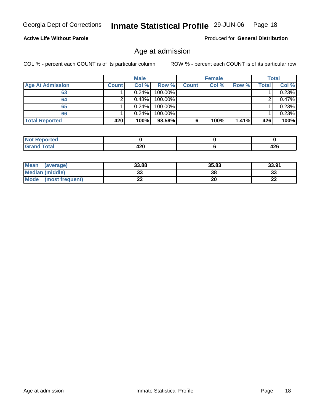#### **Active Life Without Parole**

Produced for **General Distribution**

### Age at admission

|                         |              | <b>Male</b> |         |              | <b>Female</b> |       |       | <b>Total</b> |
|-------------------------|--------------|-------------|---------|--------------|---------------|-------|-------|--------------|
| <b>Age At Admission</b> | <b>Count</b> | Col %       | Row %   | <b>Count</b> | Col %         | Row % | Total | Col %        |
| 63                      |              | 0.24%       | 100.00% |              |               |       |       | 0.23%        |
| 64                      |              | 0.48%       | 100.00% |              |               |       |       | $0.47\%$     |
| 65                      |              | 0.24%       | 100.00% |              |               |       |       | 0.23%        |
| 66                      |              | 0.24%       | 100.00% |              |               |       |       | $0.23\%$     |
| <b>Total Reported</b>   | 420          | 100%        | 98.59%  | 6            | 100%          | 1.41% | 426   | 100%         |

| <b>Not</b><br>oorted<br><b>IVGI</b> |            |            |
|-------------------------------------|------------|------------|
| <b>Total</b><br>Gran<br>-----       | חהו<br>−∠∪ | 100<br>−∠∪ |

| Mean<br>(average)       | 33.88 | 35.83 | 33.91        |
|-------------------------|-------|-------|--------------|
| Median (middle)         | JJ    | 38    | n n<br>აა    |
| Mode<br>(most frequent) | - -   | 20    | $\sim$<br>LL |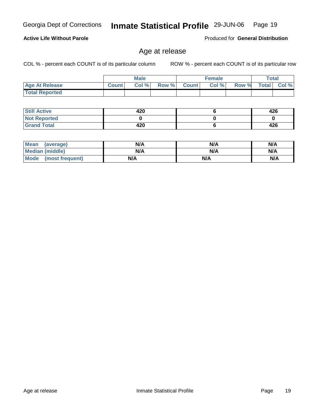**Still Active Not Reported Grand Total**

 **Total Reported**

| <b>Mean</b><br>(average) | N/A | N/A | N/A |
|--------------------------|-----|-----|-----|
| <b>Median (middle)</b>   | N/A | N/A | N/A |
| Mode (most frequent)     | N/A | N/A | N/A |

Age at release

 **Age At Release Count Col % Row % Count Col % Row % Total Col %** 

**Male**

 **420 0 420**

## **Active Life Without Parole**

COL % - percent each COUNT is of its particular column ROW % - percent each COUNT is of its particular row

**Female Total**

Produced for **General Distribution**

 **426 0 426**

 **6 0 6**

## Georgia Dept of Corrections **Inmate Statistical Profile** 29-JUN-06 Page 19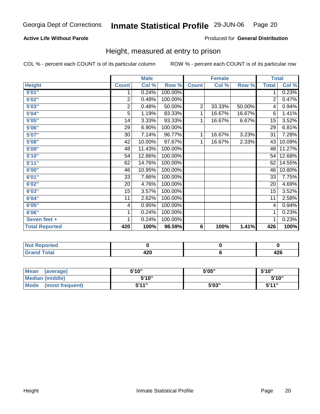#### **Active Life Without Parole**

#### Produced for **General Distribution**

### Height, measured at entry to prison

|                       |                | <b>Male</b> |         |                | <b>Female</b> |        | <b>Total</b>    |        |
|-----------------------|----------------|-------------|---------|----------------|---------------|--------|-----------------|--------|
| <b>Height</b>         | <b>Count</b>   | Col %       | Row %   | <b>Count</b>   | Col %         | Row %  | <b>Total</b>    | Col %  |
| 5'01''                | 1              | 0.24%       | 100.00% |                |               |        | 1.              | 0.23%  |
| 5'02"                 | $\overline{2}$ | 0.48%       | 100.00% |                |               |        | $\overline{2}$  | 0.47%  |
| 5'03"                 | $\overline{c}$ | 0.48%       | 50.00%  | $\overline{2}$ | 33.33%        | 50.00% | 4               | 0.94%  |
| 5'04"                 | $\overline{5}$ | 1.19%       | 83.33%  | 1              | 16.67%        | 16.67% | 6               | 1.41%  |
| 5'05"                 | 14             | 3.33%       | 93.33%  | 1              | 16.67%        | 6.67%  | 15              | 3.52%  |
| 5'06"                 | 29             | 6.90%       | 100.00% |                |               |        | $\overline{29}$ | 6.81%  |
| 5'07''                | 30             | 7.14%       | 96.77%  | 1              | 16.67%        | 3.23%  | 31              | 7.28%  |
| 5'08"                 | 42             | 10.00%      | 97.67%  | 1              | 16.67%        | 2.33%  | 43              | 10.09% |
| 5'09''                | 48             | 11.43%      | 100.00% |                |               |        | 48              | 11.27% |
| 5'10''                | 54             | 12.86%      | 100.00% |                |               |        | 54              | 12.68% |
| 5'11"                 | 62             | 14.76%      | 100.00% |                |               |        | 62              | 14.55% |
| 6'00"                 | 46             | 10.95%      | 100.00% |                |               |        | 46              | 10.80% |
| 6'01"                 | 33             | 7.86%       | 100.00% |                |               |        | 33              | 7.75%  |
| 6'02"                 | 20             | 4.76%       | 100.00% |                |               |        | 20              | 4.69%  |
| 6'03''                | 15             | 3.57%       | 100.00% |                |               |        | $\overline{15}$ | 3.52%  |
| 6'04"                 | 11             | 2.62%       | 100.00% |                |               |        | 11              | 2.58%  |
| 6'05"                 | 4              | 0.95%       | 100.00% |                |               |        | 4               | 0.94%  |
| 6'06"                 | 1              | 0.24%       | 100.00% |                |               |        | 1               | 0.23%  |
| Seven feet +          | 1              | 0.24%       | 100.00% |                |               |        | 1               | 0.23%  |
| <b>Total Reported</b> | 420            | 100%        | 98.59%  | 6              | 100%          | 1.41%  | 426             | 100%   |

| ortea<br>. |      |      |
|------------|------|------|
| $\sim$     | חרי  | י הו |
|            | 44 U | −∠∪  |

| Mean<br>(average)       | 5'10" | 5'05" | 5'10"        |
|-------------------------|-------|-------|--------------|
| <b>Median (middle)</b>  | 5'10" |       | 5'10"        |
| Mode<br>(most frequent) | 544"  | 5'03" | <b>K'11"</b> |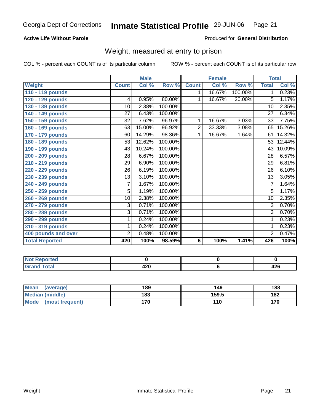#### **Active Life Without Parole**

#### Produced for **General Distribution**

### Weight, measured at entry to prison

|                       |                 | <b>Male</b> |         |                | <b>Female</b> |         | <b>Total</b>    |        |
|-----------------------|-----------------|-------------|---------|----------------|---------------|---------|-----------------|--------|
| Weight                | <b>Count</b>    | Col %       | Row %   | <b>Count</b>   | Col %         | Row %   | <b>Total</b>    | Col %  |
| 110 - 119 pounds      |                 |             |         | 1.             | 16.67%        | 100.00% | 1               | 0.23%  |
| 120 - 129 pounds      | 4               | 0.95%       | 80.00%  | 1              | 16.67%        | 20.00%  | 5               | 1.17%  |
| 130 - 139 pounds      | 10              | 2.38%       | 100.00% |                |               |         | $\overline{10}$ | 2.35%  |
| 140 - 149 pounds      | 27              | 6.43%       | 100.00% |                |               |         | 27              | 6.34%  |
| 150 - 159 pounds      | 32              | 7.62%       | 96.97%  | 1              | 16.67%        | 3.03%   | 33              | 7.75%  |
| 160 - 169 pounds      | 63              | 15.00%      | 96.92%  | $\overline{2}$ | 33.33%        | 3.08%   | 65              | 15.26% |
| 170 - 179 pounds      | 60              | 14.29%      | 98.36%  | 1              | 16.67%        | 1.64%   | 61              | 14.32% |
| 180 - 189 pounds      | 53              | 12.62%      | 100.00% |                |               |         | 53              | 12.44% |
| 190 - 199 pounds      | 43              | 10.24%      | 100.00% |                |               |         | 43              | 10.09% |
| 200 - 209 pounds      | 28              | 6.67%       | 100.00% |                |               |         | $\overline{28}$ | 6.57%  |
| 210 - 219 pounds      | 29              | 6.90%       | 100.00% |                |               |         | $\overline{29}$ | 6.81%  |
| 220 - 229 pounds      | $\overline{26}$ | 6.19%       | 100.00% |                |               |         | $\overline{26}$ | 6.10%  |
| 230 - 239 pounds      | $\overline{13}$ | 3.10%       | 100.00% |                |               |         | $\overline{13}$ | 3.05%  |
| 240 - 249 pounds      | $\overline{7}$  | 1.67%       | 100.00% |                |               |         | $\overline{7}$  | 1.64%  |
| 250 - 259 pounds      | $\overline{5}$  | 1.19%       | 100.00% |                |               |         | 5               | 1.17%  |
| 260 - 269 pounds      | 10              | 2.38%       | 100.00% |                |               |         | $\overline{10}$ | 2.35%  |
| 270 - 279 pounds      | 3               | 0.71%       | 100.00% |                |               |         | 3               | 0.70%  |
| 280 - 289 pounds      | $\overline{3}$  | 0.71%       | 100.00% |                |               |         | 3               | 0.70%  |
| 290 - 299 pounds      | 1               | 0.24%       | 100.00% |                |               |         | 1               | 0.23%  |
| 310 - 319 pounds      | 1               | 0.24%       | 100.00% |                |               |         | 1               | 0.23%  |
| 400 pounds and over   | $\overline{2}$  | 0.48%       | 100.00% |                |               |         | $\overline{2}$  | 0.47%  |
| <b>Total Reported</b> | 420             | 100%        | 98.59%  | 6              | 100%          | 1.41%   | 426             | 100%   |

| rted<br>NO:             |                       |                             |
|-------------------------|-----------------------|-----------------------------|
| A <sub>1</sub><br>_____ | חרו<br>44 Y<br>$\sim$ | $\sim$ $\sim$<br>. .<br>−∠∪ |

| Mean<br>(average)       | 189 | 149   | 188 |
|-------------------------|-----|-------|-----|
| Median (middle)         | 183 | 159.5 | 182 |
| Mode<br>(most frequent) | 170 | 110   | 170 |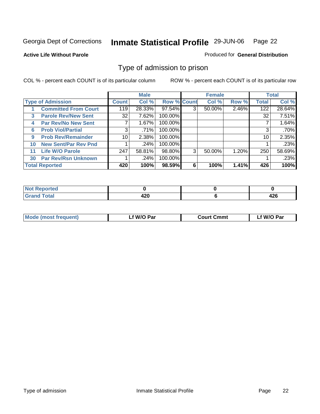#### **Active Life Without Parole**

#### Produced for **General Distribution**

### Type of admission to prison

|    |                             |              | <b>Male</b> |                    |   | <b>Female</b> |       |              | <b>Total</b> |
|----|-----------------------------|--------------|-------------|--------------------|---|---------------|-------|--------------|--------------|
|    | <b>Type of Admission</b>    | <b>Count</b> | Col %       | <b>Row % Count</b> |   | Col %         | Row % | <b>Total</b> | Col %        |
|    | <b>Committed From Court</b> | 119          | 28.33%      | 97.54%             | 3 | 50.00%        | 2.46% | 122          | 28.64%       |
| 3  | <b>Parole Rev/New Sent</b>  | 32           | 7.62%       | 100.00%            |   |               |       | 32           | 7.51%        |
| 4  | <b>Par Rev/No New Sent</b>  | 7            | 1.67%       | 100.00%            |   |               |       |              | 1.64%        |
| 6  | <b>Prob Viol/Partial</b>    | 3            | $.71\%$     | 100.00%            |   |               |       | 3            | .70%         |
| 9  | <b>Prob Rev/Remainder</b>   | 10           | 2.38%       | 100.00%            |   |               |       | 10           | 2.35%        |
| 10 | <b>New Sent/Par Rev Pnd</b> |              | .24%        | 100.00%            |   |               |       |              | .23%         |
| 11 | <b>Life W/O Parole</b>      | 247          | 58.81%      | 98.80%             | 3 | 50.00%        | 1.20% | 250          | 58.69%       |
| 30 | <b>Par Rev/Rsn Unknown</b>  |              | .24%        | 100.00%            |   |               |       |              | .23%         |
|    | <b>Total Reported</b>       | 420          | 100%        | 98.59%             | 6 | 100%          | 1.41% | 426          | 100%         |

| ported<br>NOT                   |                                  |             |
|---------------------------------|----------------------------------|-------------|
| Total<br>Cror<br>υιαι<br>------ | $\overline{\phantom{a}}$<br>44 Y | ,,,<br>74 V |

| <b>Mode (most frequent)</b> | f W/O Par | <b>Court Cmmt</b> | `W/O Par |
|-----------------------------|-----------|-------------------|----------|
|                             |           |                   |          |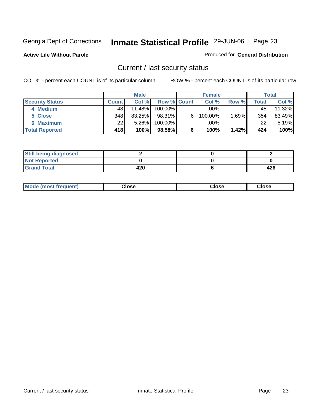**Active Life Without Parole** 

Produced for **General Distribution**

### Current / last security status

|                        |              | <b>Male</b> |                    |   | <b>Female</b> |                        |       | <b>Total</b> |
|------------------------|--------------|-------------|--------------------|---|---------------|------------------------|-------|--------------|
| <b>Security Status</b> | <b>Count</b> | Col %       | <b>Row % Count</b> |   | Col %         | Row %                  | Total | Col %        |
| 4 Medium               | 48           | $11.48\%$   | $100.00\%$         |   | $.00\%$       |                        | 48    | 11.32%       |
| 5 Close                | 348          | 83.25%      | 98.31%             | 6 | 100.00%       | $.69\%$ $\blacksquare$ | 354   | 83.49%       |
| <b>6 Maximum</b>       | 22           | 5.26%       | 100.00%            |   | .00%          |                        | 22    | 5.19%        |
| <b>Total Reported</b>  | 418          | 100%        | 98.58%             | 6 | 100%          | 1.42%                  | 424   | 100%         |

| <b>Still being diagnosed</b> |     |     |
|------------------------------|-----|-----|
| <b>Not Reported</b>          |     |     |
| <b>Grand Total</b>           | 420 | 426 |

| Mode (most frequent) | oseانہ | Close | Close |
|----------------------|--------|-------|-------|
|                      |        |       |       |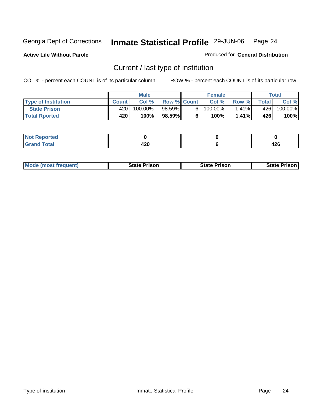**Active Life Without Parole** 

Produced for **General Distribution**

## Current / last type of institution

|                            |              | <b>Male</b> |                    | <b>Female</b> |          |       | Total   |
|----------------------------|--------------|-------------|--------------------|---------------|----------|-------|---------|
| <b>Type of Institution</b> | <b>Count</b> | Col %       | <b>Row % Count</b> | Col %         | Row %    | Total | Col %   |
| <b>State Prison</b>        | 4201         | 100.00%     | 98.59%             | $100.00\%$    | $1.41\%$ | 426   | 100.00% |
| <b>Total Rported</b>       | 420          | 100%।       | 98.59%             | 100%          | 1.41%    | 426   | 100%    |

| <b>keportea</b><br>w<br>. |                      |         |
|---------------------------|----------------------|---------|
| $\sim$<br>i vtal<br>$-1$  | $\sqrt{2}$<br>$\sim$ | <br>440 |

|  | <b>Mode (most frequent)</b> | <b>State Prison</b> | <b>State Prison</b> | <b>State Prison</b> |
|--|-----------------------------|---------------------|---------------------|---------------------|
|--|-----------------------------|---------------------|---------------------|---------------------|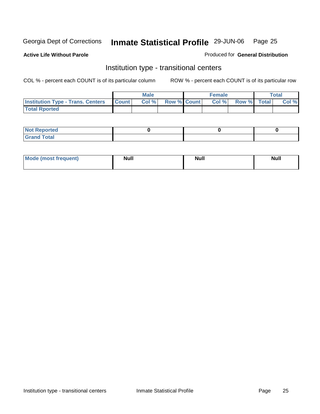**Active Life Without Parole** 

#### Produced for **General Distribution**

### Institution type - transitional centers

|                                          |              | Male  |                    | <b>Female</b> |             | Total |
|------------------------------------------|--------------|-------|--------------------|---------------|-------------|-------|
| <b>Institution Type - Trans. Centers</b> | <b>Count</b> | Col % | <b>Row % Count</b> | Col%          | Row % Total | Col % |
| <b>Total Rported</b>                     |              |       |                    |               |             |       |

| <b>Reported</b><br><b>NOT</b> |  |  |
|-------------------------------|--|--|
| <b>Total</b><br>$C$ ro'<br>_  |  |  |

| Mode (most frequent) | Null | <b>Null</b> | <b>Null</b> |
|----------------------|------|-------------|-------------|
|                      |      |             |             |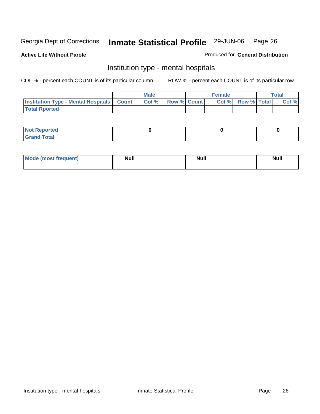#### **Active Life Without Parole**

#### Produced for **General Distribution**

### Institution type - mental hospitals

|                                                  | <b>Male</b> |                    | <b>Female</b> |                   | Total |
|--------------------------------------------------|-------------|--------------------|---------------|-------------------|-------|
| <b>Institution Type - Mental Hospitals Count</b> | Col %       | <b>Row % Count</b> |               | Col % Row % Total | Col % |
| <b>Total Rported</b>                             |             |                    |               |                   |       |

| <b>Not Reported</b> |  |  |
|---------------------|--|--|
| <b>Total</b><br>r.  |  |  |

| Mode (most frequent) | <b>Null</b> | <b>Null</b> | <b>Null</b> |
|----------------------|-------------|-------------|-------------|
|                      |             |             |             |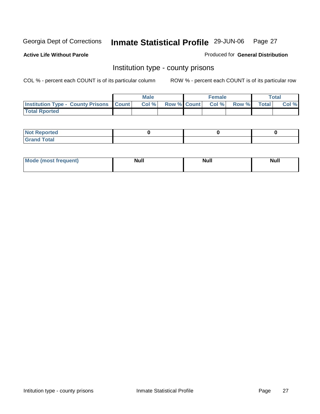**Active Life Without Parole** 

Produced for **General Distribution**

### Institution type - county prisons

|                                                    | <b>Male</b> |  | <b>Female</b>     |       |              | $\tau$ otal |
|----------------------------------------------------|-------------|--|-------------------|-------|--------------|-------------|
| <b>Institution Type - County Prisons   Count  </b> | CoI%        |  | Row % Count Col % | Row % | <b>Total</b> | Col %       |
| <b>Total Rported</b>                               |             |  |                   |       |              |             |

| <b>Not Reported</b> |  |  |
|---------------------|--|--|
| <b>Grand Total</b>  |  |  |

| <b>Mode</b><br><b>ost frequent)</b> | <b>Null</b> | <b>Modl</b><br>'YUI. | <b>Null</b> |
|-------------------------------------|-------------|----------------------|-------------|
|                                     |             |                      |             |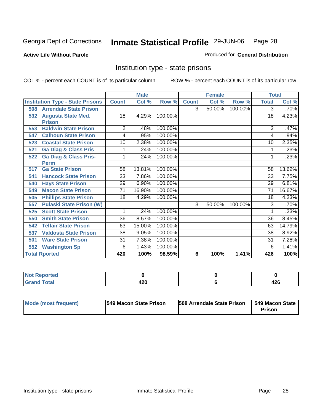#### **Active Life Without Parole**

#### Produced for **General Distribution**

### Institution type - state prisons

|                                         |              | <b>Male</b> |         |              | <b>Female</b> |         | <b>Total</b> |        |
|-----------------------------------------|--------------|-------------|---------|--------------|---------------|---------|--------------|--------|
| <b>Institution Type - State Prisons</b> | <b>Count</b> | Col %       | Row %   | <b>Count</b> | Col %         | Row %   | <b>Total</b> | Col %  |
| <b>Arrendale State Prison</b><br>508    |              |             |         | 3            | 50.00%        | 100.00% | 3            | .70%   |
| 532<br><b>Augusta State Med.</b>        | 18           | 4.29%       | 100.00% |              |               |         | 18           | 4.23%  |
| <b>Prison</b>                           |              |             |         |              |               |         |              |        |
| <b>Baldwin State Prison</b><br>553      | 2            | .48%        | 100.00% |              |               |         | 2            | .47%   |
| <b>Calhoun State Prison</b><br>547      | 4            | .95%        | 100.00% |              |               |         | 4            | .94%   |
| <b>Coastal State Prison</b><br>523      | 10           | 2.38%       | 100.00% |              |               |         | 10           | 2.35%  |
| <b>Ga Diag &amp; Class Pris</b><br>521  |              | .24%        | 100.00% |              |               |         |              | .23%   |
| <b>Ga Diag &amp; Class Pris-</b><br>522 | 1            | .24%        | 100.00% |              |               |         |              | .23%   |
| <b>Perm</b>                             |              |             |         |              |               |         |              |        |
| <b>Ga State Prison</b><br>517           | 58           | 13.81%      | 100.00% |              |               |         | 58           | 13.62% |
| <b>Hancock State Prison</b><br>541      | 33           | 7.86%       | 100.00% |              |               |         | 33           | 7.75%  |
| <b>Hays State Prison</b><br>540         | 29           | 6.90%       | 100.00% |              |               |         | 29           | 6.81%  |
| <b>Macon State Prison</b><br>549        | 71           | 16.90%      | 100.00% |              |               |         | 71           | 16.67% |
| <b>Phillips State Prison</b><br>505     | 18           | 4.29%       | 100.00% |              |               |         | 18           | 4.23%  |
| <b>Pulaski State Prison (W)</b><br>557  |              |             |         | 3            | 50.00%        | 100.00% | 3            | .70%   |
| <b>Scott State Prison</b><br>525        | $\mathbf{1}$ | .24%        | 100.00% |              |               |         |              | .23%   |
| <b>Smith State Prison</b><br>550        | 36           | 8.57%       | 100.00% |              |               |         | 36           | 8.45%  |
| <b>Telfair State Prison</b><br>542      | 63           | 15.00%      | 100.00% |              |               |         | 63           | 14.79% |
| <b>Valdosta State Prison</b><br>537     | 38           | 9.05%       | 100.00% |              |               |         | 38           | 8.92%  |
| <b>Ware State Prison</b><br>501         | 31           | 7.38%       | 100.00% |              |               |         | 31           | 7.28%  |
| <b>Washington Sp</b><br>552             | 6            | 1.43%       | 100.00% |              |               |         | 6            | 1.41%  |
| <b>Total Rported</b>                    | 420          | 100%        | 98.59%  | 6            | 100%          | 1.41%   | 426          | 100%   |

| <b>Not</b><br><b>Reported</b><br>$\sim$ |     |     |
|-----------------------------------------|-----|-----|
| <b>Total</b><br>Cron                    | 420 | 426 |

| Mode (most frequent) | <b>1549 Macon State Prison</b> | <b>508 Arrendale State Prison</b> | <b>549 Macon State I</b><br><b>Prison</b> |
|----------------------|--------------------------------|-----------------------------------|-------------------------------------------|
|----------------------|--------------------------------|-----------------------------------|-------------------------------------------|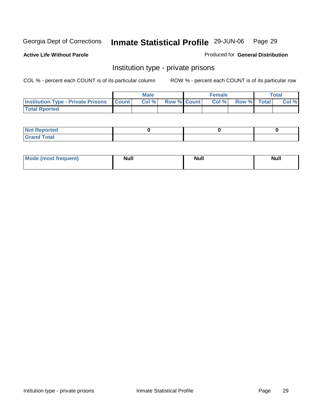**Active Life Without Parole** 

Produced for **General Distribution**

### Institution type - private prisons

|                                                     | Male  |                    | <b>Female</b> |                   | Total |
|-----------------------------------------------------|-------|--------------------|---------------|-------------------|-------|
| <b>Institution Type - Private Prisons   Count  </b> | Col % | <b>Row % Count</b> |               | Col % Row % Total | Col % |
| <b>Total Rported</b>                                |       |                    |               |                   |       |

| <b>Not Reported</b>                       |  |  |
|-------------------------------------------|--|--|
| <b>Total</b><br>Gr <sub>2</sub><br>$\sim$ |  |  |

| Mode (most frequent) | Null | <b>Null</b> | <b>Null</b> |
|----------------------|------|-------------|-------------|
|                      |      |             |             |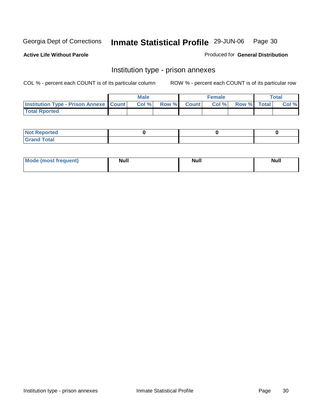**Active Life Without Parole** 

Produced for **General Distribution**

### Institution type - prison annexes

|                                                   | <b>Male</b> |             | <b>Female</b> |             | Total |
|---------------------------------------------------|-------------|-------------|---------------|-------------|-------|
| <b>Institution Type - Prison Annexe   Count  </b> | Col %       | Row % Count | Col%          | Row % Total | Col % |
| <b>Total Rported</b>                              |             |             |               |             |       |

| $N$ nt R<br>Reported         |  |  |
|------------------------------|--|--|
| <b>Total</b><br><b>Grano</b> |  |  |

| Mode (most frequent) | <b>Null</b> | <b>Null</b> | <b>Null</b> |
|----------------------|-------------|-------------|-------------|
|                      |             |             |             |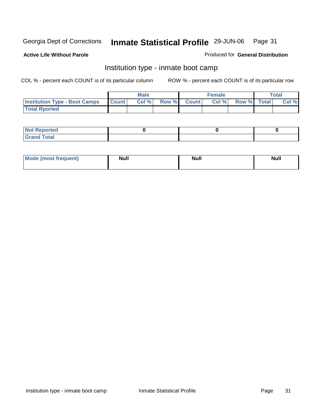**Active Life Without Parole** 

Produced for **General Distribution**

### Institution type - inmate boot camp

|                                      |              | <b>Male</b> |             | <b>Female</b> |             | Total |
|--------------------------------------|--------------|-------------|-------------|---------------|-------------|-------|
| <b>Institution Type - Boot Camps</b> | <b>Count</b> | Col %       | Row % Count | Col%          | Row % Total | Col % |
| <b>Total Rported</b>                 |              |             |             |               |             |       |

| المدافعات<br>NO1<br><b>Reported</b><br>$\sim$                                  |  |  |
|--------------------------------------------------------------------------------|--|--|
| $T0$ <i>i</i> $0$ <sup><math>1</math></sup><br>C <sub>row</sub><br>$- - - - -$ |  |  |

| Mode (most frequent) | <b>Null</b> | <b>Null</b> | <b>Null</b> |
|----------------------|-------------|-------------|-------------|
|                      |             |             |             |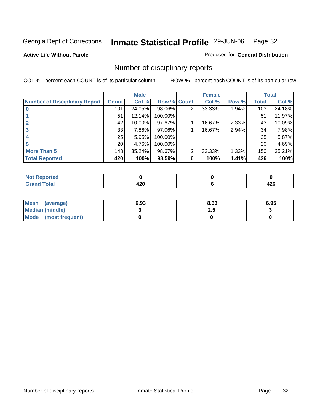**Active Life Without Parole** 

Produced for **General Distribution**

## Number of disciplinary reports

|                                      |                 | <b>Male</b> |             |   | <b>Female</b> |       |                 | <b>Total</b> |
|--------------------------------------|-----------------|-------------|-------------|---|---------------|-------|-----------------|--------------|
| <b>Number of Disciplinary Report</b> | <b>Count</b>    | Col %       | Row % Count |   | Col %         | Row % | <b>Total</b>    | Col %        |
|                                      | 101             | 24.05%      | 98.06%      | 2 | 33.33%        | 1.94% | 103             | 24.18%       |
|                                      | 51              | 12.14%      | 100.00%     |   |               |       | 51              | 11.97%       |
|                                      | 42              | 10.00%      | 97.67%      |   | 16.67%        | 2.33% | 43              | 10.09%       |
| 3                                    | 33              | 7.86%       | 97.06%      |   | 16.67%        | 2.94% | 34              | 7.98%        |
|                                      | 25              | 5.95%       | 100.00%     |   |               |       | 25              | 5.87%        |
|                                      | 20 <sub>1</sub> | 4.76%       | 100.00%     |   |               |       | 20 <sup>1</sup> | 4.69%        |
| <b>More Than 5</b>                   | 148             | 35.24%      | 98.67%      | 2 | 33.33%        | 1.33% | 150             | 35.21%       |
| <b>Total Reported</b>                | 420             | 100%        | 98.59%      | 6 | 100%          | 1.41% | 426             | 100%         |

| тео<br>N                    |     |    |
|-----------------------------|-----|----|
| $int^{\bullet}$             |     |    |
| $\sim$ $\sim$ $\sim$ $\sim$ | −∠∪ | −⊷ |

| Mean<br>(average)      | 6.93 | 8.33 | 6.95 |
|------------------------|------|------|------|
| <b>Median (middle)</b> |      | 2.J  |      |
| Mode (most frequent)   |      |      |      |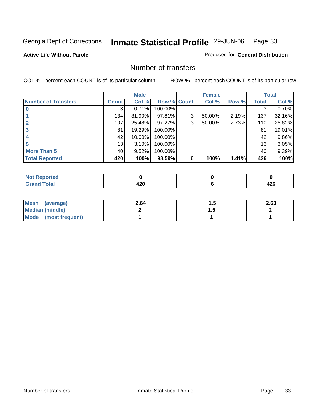#### **Active Life Without Parole**

#### Produced for **General Distribution**

### Number of transfers

|                            |        | <b>Male</b> |             |   | <b>Female</b> |       |              | <b>Total</b> |
|----------------------------|--------|-------------|-------------|---|---------------|-------|--------------|--------------|
| <b>Number of Transfers</b> | Count! | Col %       | Row % Count |   | Col %         | Row % | <b>Total</b> | Col %        |
|                            | 3      | 0.71%       | 100.00%     |   |               |       | 3            | 0.70%        |
|                            | 134    | 31.90%      | 97.81%      | 3 | 50.00%        | 2.19% | 137          | 32.16%       |
| $\mathbf{c}$               | 107    | 25.48%      | 97.27%      | 3 | 50.00%        | 2.73% | 110          | 25.82%       |
| 3                          | 81     | 19.29%      | 100.00%     |   |               |       | 81           | 19.01%       |
|                            | 42     | 10.00%      | 100.00%     |   |               |       | 42           | 9.86%        |
|                            | 13     | 3.10%       | 100.00%     |   |               |       | 13           | 3.05%        |
| <b>More Than 5</b>         | 40     | 9.52%       | 100.00%     |   |               |       | 40           | 9.39%        |
| <b>Total Reported</b>      | 420    | 100%        | 98.59%      | 6 | 100%          | 1.41% | 426          | 100%         |

| .<br>тес<br>N |              |               |
|---------------|--------------|---------------|
|               | .<br>--<br>™ | .<br>-<br>−∠∪ |

| Mean (average)       | 2.64 |          | 2.63 |
|----------------------|------|----------|------|
| Median (middle)      |      | $\cdots$ |      |
| Mode (most frequent) |      |          |      |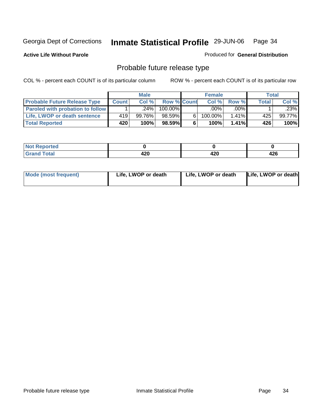**Active Life Without Parole** 

Produced for **General Distribution**

## Probable future release type

|                                         |              | <b>Male</b> |                    |   | <b>Female</b> |          |       | Total  |
|-----------------------------------------|--------------|-------------|--------------------|---|---------------|----------|-------|--------|
| <b>Probable Future Release Type</b>     | <b>Count</b> | Col%        | <b>Row % Count</b> |   | Col%          | Row %    | Total | Col %  |
| <b>Paroled with probation to follow</b> |              | .24%        | 100.00%            |   | $.00\%$       | $.00\%$  |       | .23%   |
| Life, LWOP or death sentence            | 419          | 99.76%      | 98.59%             | 6 | 100.00%       | $1.41\%$ | 425   | 99.77% |
| <b>Total Reported</b>                   | 420          | 100%        | 98.59%             | 6 | 100%          | 1.41%    | 426   | 100%   |

| วrted<br>.   |        |      |       |
|--------------|--------|------|-------|
| <b>fotal</b> | ,,,    | חרו  | 1つに   |
|              | - 14 V | 42 U | $+20$ |

| Life, LWOP or death<br>Life, LWOP or death<br>Mode (most frequent)<br>Life, LWOP or death |  |
|-------------------------------------------------------------------------------------------|--|
|-------------------------------------------------------------------------------------------|--|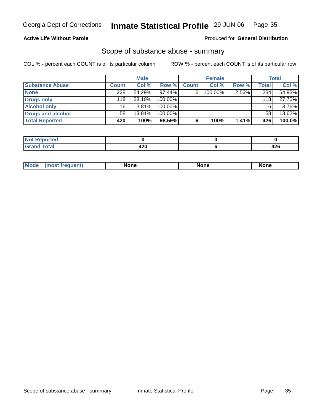#### **Active Life Without Parole**

#### Produced for **General Distribution**

#### Scope of substance abuse - summary

|                        |              | <b>Male</b> |            |              | <b>Female</b> |       |                 | <b>Total</b> |
|------------------------|--------------|-------------|------------|--------------|---------------|-------|-----------------|--------------|
| <b>Substance Abuse</b> | <b>Count</b> | Col %       | Row %      | <b>Count</b> | Col %         | Row % | Total,          | Col %        |
| <b>None</b>            | 228          | 54.29%      | 97.44%     | 6            | 100.00%       | 2.56% | 234             | 54.93%       |
| Drugs only             | 118          | 28.10%      | 100.00%    |              |               |       | 118             | 27.70%       |
| <b>Alcohol only</b>    | 16           | $3.81\%$    | 100.00%    |              |               |       | 16 <sub>1</sub> | $3.76\%$     |
| Drugs and alcohol      | 58           | 13.81%      | $100.00\%$ |              |               |       | 58              | 13.62%       |
| <b>Total Reported</b>  | 420          | 100%        | 98.59%     | 6            | 100%          | 1.41% | 426             | 100.0%       |

| <b>Reported</b>       |                 |         |
|-----------------------|-----------------|---------|
| <b>otal</b><br>______ | .<br>72 L<br>__ | <br>−∠∪ |

|  | Mode<br>mos | None | <b>None</b> | None |
|--|-------------|------|-------------|------|
|--|-------------|------|-------------|------|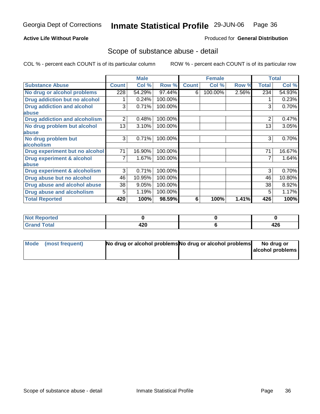#### **Active Life Without Parole**

#### Produced for **General Distribution**

#### Scope of substance abuse - detail

|                                         |              | <b>Male</b> |         |              | <b>Female</b> |       |                | <b>Total</b> |
|-----------------------------------------|--------------|-------------|---------|--------------|---------------|-------|----------------|--------------|
| <b>Substance Abuse</b>                  | <b>Count</b> | Col %       | Row %   | <b>Count</b> | Col %         | Row % | <b>Total</b>   | Col %        |
| No drug or alcohol problems             | 228          | 54.29%      | 97.44%  | 6            | 100.00%       | 2.56% | 234            | 54.93%       |
| Drug addiction but no alcohol           |              | 0.24%       | 100.00% |              |               |       |                | 0.23%        |
| <b>Drug addiction and alcohol</b>       | 3            | 0.71%       | 100.00% |              |               |       | 3              | 0.70%        |
| abuse                                   |              |             |         |              |               |       |                |              |
| <b>Drug addiction and alcoholism</b>    | 2            | 0.48%       | 100.00% |              |               |       | $\overline{2}$ | 0.47%        |
| No drug problem but alcohol             | 13           | 3.10%       | 100.00% |              |               |       | 13             | 3.05%        |
| abuse                                   |              |             |         |              |               |       |                |              |
| No drug problem but                     | 3            | 0.71%       | 100.00% |              |               |       | 3              | 0.70%        |
| alcoholism                              |              |             |         |              |               |       |                |              |
| Drug experiment but no alcohol          | 71           | 16.90%      | 100.00% |              |               |       | 71             | 16.67%       |
| <b>Drug experiment &amp; alcohol</b>    |              | 1.67%       | 100.00% |              |               |       |                | 1.64%        |
| <b>labuse</b>                           |              |             |         |              |               |       |                |              |
| <b>Drug experiment &amp; alcoholism</b> | 3            | 0.71%       | 100.00% |              |               |       | 3              | 0.70%        |
| Drug abuse but no alcohol               | 46           | 10.95%      | 100.00% |              |               |       | 46             | 10.80%       |
| Drug abuse and alcohol abuse            | 38           | 9.05%       | 100.00% |              |               |       | 38             | 8.92%        |
| Drug abuse and alcoholism               | 5            | 1.19%       | 100.00% |              |               |       | 5              | 1.17%        |
| <b>Total Reported</b>                   | 420          | 100%        | 98.59%  | 6            | 100%          | 1.41% | 426            | 100%         |

| Reported<br>I NOT |      |     |
|-------------------|------|-----|
| <b>Total</b>      | חרי  |     |
| 'Grand            | 44 U | 44O |

| Mode (most frequent) | No drug or alcohol problems No drug or alcohol problems | No drug or       |
|----------------------|---------------------------------------------------------|------------------|
|                      |                                                         | alcohol problems |
|                      |                                                         |                  |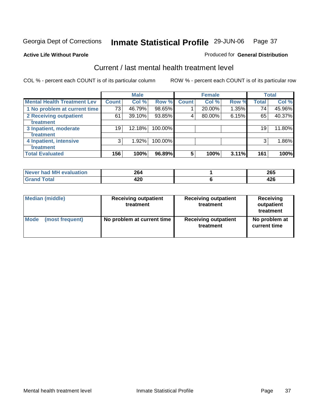Produced for **General Distribution**

### **Active Life Without Parole**

### Current / last mental health treatment level

|                                    |              | <b>Male</b> |         |                 | <b>Female</b> |       |              | <b>Total</b> |
|------------------------------------|--------------|-------------|---------|-----------------|---------------|-------|--------------|--------------|
| <b>Mental Health Treatment Lev</b> | <b>Count</b> | Col %       | Row %   | Count           | Col %         | Row % | <b>Total</b> | Col %        |
| 1 No problem at current time       | 73           | 46.79%      | 98.65%  |                 | 20.00%        | 1.35% | 74           | 45.96%       |
| 2 Receiving outpatient             | 61           | 39.10%      | 93.85%  | 4               | 80.00%        | 6.15% | 65           | 40.37%       |
| treatment                          |              |             |         |                 |               |       |              |              |
| 3 Inpatient, moderate              | 19           | 12.18%      | 100.00% |                 |               |       | 19           | 11.80%       |
| treatment                          |              |             |         |                 |               |       |              |              |
| 4 Inpatient, intensive             | 3            | 1.92%       | 100.00% |                 |               |       | 3            | 1.86%        |
| treatment                          |              |             |         |                 |               |       |              |              |
| <b>Total Evaluated</b>             | 156          | 100%        | 96.89%  | $5\phantom{.0}$ | 100%          | 3.11% | 161          | 100%         |

| Never had MH evaluation   | 264 | <b>OCF</b><br>∠໐ວ |
|---------------------------|-----|-------------------|
| $\mathop{\mathsf{Total}}$ | 420 | $\sim$<br>44 U    |

| <b>Median (middle)</b> | <b>Receiving outpatient</b><br>treatment | <b>Receiving outpatient</b><br>treatment | <b>Receiving</b><br>outpatient<br>treatment |
|------------------------|------------------------------------------|------------------------------------------|---------------------------------------------|
| <b>Mode</b>            | No problem at current time               | <b>Receiving outpatient</b>              | No problem at                               |
| (most frequent)        |                                          | treatment                                | current time                                |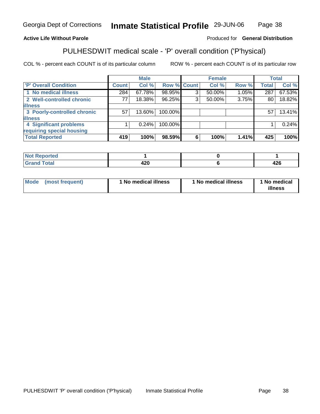### **Active Life Without Parole**

#### Produced for **General Distribution**

# PULHESDWIT medical scale - 'P' overall condition ('P'hysical)

|                             |              | <b>Male</b> |         |             | <b>Female</b> |          |              | <b>Total</b> |
|-----------------------------|--------------|-------------|---------|-------------|---------------|----------|--------------|--------------|
| 'P' Overall Condition       | <b>Count</b> | Col %       |         | Row % Count | Col %         | Row %    | <b>Total</b> | Col %        |
| 1 No medical illness        | 284          | 67.78%      | 98.95%  | ົ           | 50.00%        | $1.05\%$ | 287          | 67.53%       |
| 2 Well-controlled chronic   | 77           | 18.38%      | 96.25%  | 3           | 50.00%        | 3.75%    | 80           | 18.82%       |
| <b>illness</b>              |              |             |         |             |               |          |              |              |
| 3 Poorly-controlled chronic | 57           | $13.60\%$   | 100.00% |             |               |          | 57           | 13.41%       |
| <b>illness</b>              |              |             |         |             |               |          |              |              |
| 4 Significant problems      |              | 0.24%       | 100.00% |             |               |          |              | 0.24%        |
| requiring special housing   |              |             |         |             |               |          |              |              |
| <b>Total Reported</b>       | 419          | 100%        | 98.59%  | 6           | 100%          | 1.41%    | 425          | 100%         |

| Not <b>No.</b><br>τeα<br><b>KEDO</b> |              |             |
|--------------------------------------|--------------|-------------|
| $T = 4$                              | ---<br>- - - | ハウビ<br>44 U |

| Mode | (most frequent) | 1 No medical illness | <sup>1</sup> No medical illness | 1 No medical<br>illness |
|------|-----------------|----------------------|---------------------------------|-------------------------|
|------|-----------------|----------------------|---------------------------------|-------------------------|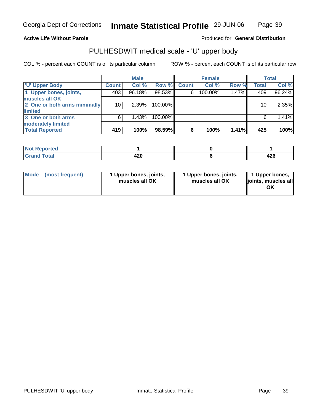#### **Active Life Without Parole**

Produced for **General Distribution**

### PULHESDWIT medical scale - 'U' upper body

|                              |              | <b>Male</b> |         |              | <b>Female</b> |       |              | <b>Total</b> |
|------------------------------|--------------|-------------|---------|--------------|---------------|-------|--------------|--------------|
| <b>TU' Upper Body</b>        | <b>Count</b> | Col %       | Row %   | <b>Count</b> | Col %         | Row % | <b>Total</b> | Col %        |
| 1 Upper bones, joints,       | 403          | 96.18%      | 98.53%  | 6            | 100.00%       | 1.47% | 409          | 96.24%       |
| muscles all OK               |              |             |         |              |               |       |              |              |
| 2 One or both arms minimally | 10           | 2.39%       | 100.00% |              |               |       | 10           | 2.35%        |
| limited                      |              |             |         |              |               |       |              |              |
| 3 One or both arms           | 6            | 1.43%       | 100.00% |              |               |       | 6            | 1.41%        |
| moderately limited           |              |             |         |              |               |       |              |              |
| <b>Total Reported</b>        | 419          | 100%        | 98.59%  | 6            | 100%          | 1.41% | 425          | 100%         |

| المستقصين والمناد<br>∣ Not Reported |              |           |
|-------------------------------------|--------------|-----------|
|                                     | A ממ<br>44 Y | .<br>44 U |

| l Mode I | (most frequent) | 1 Upper bones, joints,<br>muscles all OK | 1 Upper bones, joints,<br>muscles all OK | 1 Upper bones,<br>joints, muscles all<br>ΟK |
|----------|-----------------|------------------------------------------|------------------------------------------|---------------------------------------------|
|----------|-----------------|------------------------------------------|------------------------------------------|---------------------------------------------|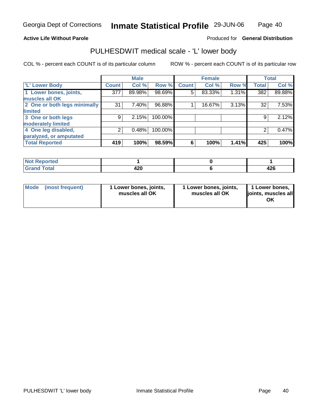#### **Active Life Without Parole**

#### Produced for **General Distribution**

### PULHESDWIT medical scale - 'L' lower body

COL % - percent each COUNT is of its particular column ROW % - percent each COUNT is of its particular row

|                              |                  | <b>Male</b> |         |              | <b>Female</b> |       |              | <b>Total</b> |
|------------------------------|------------------|-------------|---------|--------------|---------------|-------|--------------|--------------|
| 'L' Lower Body               | <b>Count</b>     | Col %       | Row %   | <b>Count</b> | Col %         | Row % | <b>Total</b> | Col %        |
| 1 Lower bones, joints,       | $\overline{377}$ | 89.98%      | 98.69%  | 5            | 83.33%        | 1.31% | 382          | 89.88%       |
| muscles all OK               |                  |             |         |              |               |       |              |              |
| 2 One or both legs minimally | 31               | 7.40%       | 96.88%  |              | 16.67%        | 3.13% | 32           | 7.53%        |
| limited                      |                  |             |         |              |               |       |              |              |
| 3 One or both legs           | 9                | 2.15%       | 100.00% |              |               |       | 9            | 2.12%        |
| moderately limited           |                  |             |         |              |               |       |              |              |
| 4 One leg disabled,          | 2                | 0.48%       | 100.00% |              |               |       |              | 0.47%        |
| paralyzed, or amputated      |                  |             |         |              |               |       |              |              |
| <b>Total Reported</b>        | 419              | 100%        | 98.59%  | 6            | 100%          | 1.41% | 425          | 100%         |

| N <sub>of</sub><br>eported                        |           |             |
|---------------------------------------------------|-----------|-------------|
| <b>Total</b><br><b>Grou</b><br>$-1$ . $-1$ . $-1$ | חרו<br>−⊷ | 100<br>44 U |

| l Mode | (most frequent) | 1 Lower bones, joints,<br>muscles all OK | 1 Lower bones, joints,<br>muscles all OK | 1 Lower bones,<br>joints, muscles all<br>ΟK |
|--------|-----------------|------------------------------------------|------------------------------------------|---------------------------------------------|
|--------|-----------------|------------------------------------------|------------------------------------------|---------------------------------------------|

Page 40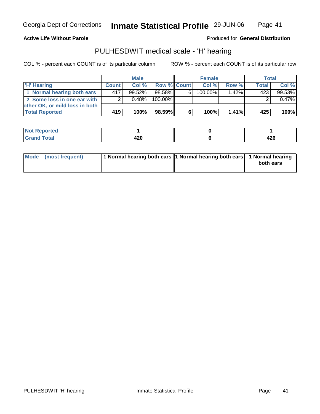Page 41

#### **Active Life Without Parole**

Produced for **General Distribution**

### PULHESDWIT medical scale - 'H' hearing

|                                |                | <b>Male</b> |             |    | <b>Female</b> |       | <b>Total</b> |          |
|--------------------------------|----------------|-------------|-------------|----|---------------|-------|--------------|----------|
| 'H' Hearing                    | <b>Count</b>   | Col%        | Row % Count |    | Col%          | Row % | Total,       | Col %    |
| 1 Normal hearing both ears     | 4171           | $99.52\%$   | 98.58%      | 61 | $100.00\%$    | 1.42% | 423          | 99.53%   |
| 2 Some loss in one ear with    | 2 <sub>1</sub> | $0.48\%$    | 100.00%     |    |               |       |              | $0.47\%$ |
| other OK, or mild loss in both |                |             |             |    |               |       |              |          |
| <b>Total Reported</b>          | 419            | 100%        | 98.59%      | 6  | 100%          | 1.41% | 425          | 100%     |

| ----<br>N<br>reo      |           |     |
|-----------------------|-----------|-----|
| <b>otal</b><br>______ | ഹ<br>44 U | 426 |

| Mode (most frequent) | 1 Normal hearing both ears 1 Normal hearing both ears 1 Normal hearing | both ears |
|----------------------|------------------------------------------------------------------------|-----------|
|                      |                                                                        |           |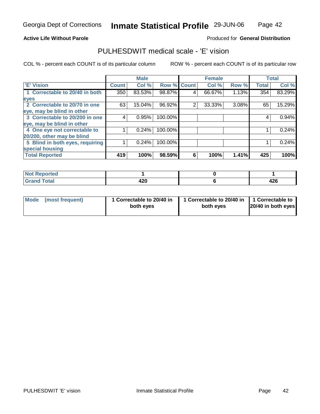#### **Active Life Without Parole**

#### Produced for **General Distribution**

### PULHESDWIT medical scale - 'E' vision

|                                 |              | <b>Male</b> |                    |   | <b>Female</b> |       |              | <b>Total</b> |
|---------------------------------|--------------|-------------|--------------------|---|---------------|-------|--------------|--------------|
| <b>E' Vision</b>                | <b>Count</b> | Col %       | <b>Row % Count</b> |   | Col %         | Row % | <b>Total</b> | Col %        |
| 1 Correctable to 20/40 in both  | 350          | 83.53%      | 98.87%             | 4 | 66.67%        | 1.13% | 354          | 83.29%       |
| eyes                            |              |             |                    |   |               |       |              |              |
| 2 Correctable to 20/70 in one   | 63           | 15.04%      | 96.92%             | 2 | 33.33%        | 3.08% | 65           | 15.29%       |
| eye, may be blind in other      |              |             |                    |   |               |       |              |              |
| 3 Correctable to 20/200 in one  | 4            | 0.95%       | 100.00%            |   |               |       | 4            | 0.94%        |
| eye, may be blind in other      |              |             |                    |   |               |       |              |              |
| 4 One eye not correctable to    |              | 0.24%       | 100.00%            |   |               |       |              | 0.24%        |
| 20/200, other may be blind      |              |             |                    |   |               |       |              |              |
| 5 Blind in both eyes, requiring |              | 0.24%       | 100.00%            |   |               |       |              | 0.24%        |
| special housing                 |              |             |                    |   |               |       |              |              |
| <b>Total Reported</b>           | 419          | 100%        | 98.59%             | 6 | 100%          | 1.41% | 425          | 100%         |

| <b>Enrico</b>      |             |          |
|--------------------|-------------|----------|
| <b>Grand Total</b> | 100<br>44 U | <br>44 U |

| Mode (most frequent) | 1 Correctable to 20/40 in<br>both eyes | 1 Correctable to 20/40 in   1 Correctable to<br>both eyes | $20/40$ in both eyes |
|----------------------|----------------------------------------|-----------------------------------------------------------|----------------------|
|----------------------|----------------------------------------|-----------------------------------------------------------|----------------------|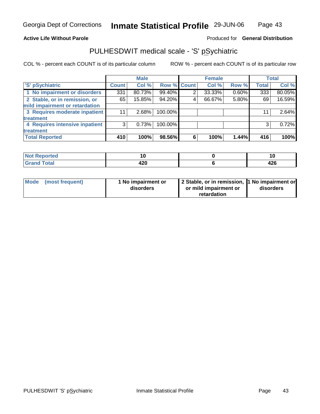#### **Active Life Without Parole**

#### Produced for **General Distribution**

### PULHESDWIT medical scale - 'S' pSychiatric

|                                |              | <b>Male</b> |             |   | <b>Female</b> |       |              | <b>Total</b> |
|--------------------------------|--------------|-------------|-------------|---|---------------|-------|--------------|--------------|
| 'S' pSychiatric                | <b>Count</b> | Col %       | Row % Count |   | Col %         | Row % | <b>Total</b> | Col %        |
| 1 No impairment or disorders   | 331          | 80.73%      | 99.40%      |   | 33.33%        | 0.60% | 333          | 80.05%       |
| 2 Stable, or in remission, or  | 65           | 15.85%      | 94.20%      | 4 | 66.67%        | 5.80% | 69           | 16.59%       |
| mild impairment or retardation |              |             |             |   |               |       |              |              |
| 3 Requires moderate inpatient  | 11           | $2.68\%$    | 100.00%     |   |               |       | 11           | 2.64%        |
| treatment                      |              |             |             |   |               |       |              |              |
| 4 Requires intensive inpatient | 3            | 0.73%       | 100.00%     |   |               |       | 3            | 0.72%        |
| treatment                      |              |             |             |   |               |       |              |              |
| <b>Total Reported</b>          | 410          | 100%        | 98.56%      | 6 | 100%          | 1.44% | 416          | 100%         |

| rted<br>N        | 10   |     |
|------------------|------|-----|
| fotal            | 100  | "^^ |
| $\mathbf{v}$ and | 44 U | 74, |

| Mode (most frequent) | 1 No impairment or<br>disorders | 2 Stable, or in remission, 1 No impairment or<br>or mild impairment or | disorders |
|----------------------|---------------------------------|------------------------------------------------------------------------|-----------|
|                      |                                 | retardation                                                            |           |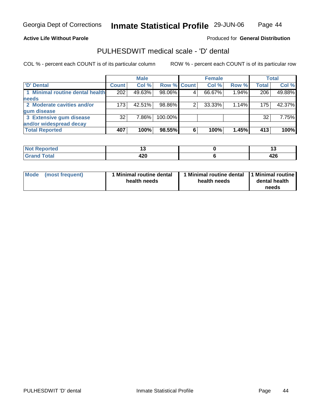#### **Active Life Without Parole**

#### Produced for **General Distribution**

### PULHESDWIT medical scale - 'D' dental

|                                 |              | <b>Male</b> |             |   | <b>Female</b> |       |              | Total  |
|---------------------------------|--------------|-------------|-------------|---|---------------|-------|--------------|--------|
| <b>D'</b> Dental                | <b>Count</b> | Col %       | Row % Count |   | Col %         | Row % | <b>Total</b> | Col %  |
| 1 Minimal routine dental health | 202          | 49.63%      | 98.06%      |   | 66.67%        | 1.94% | 206          | 49.88% |
| <b>needs</b>                    |              |             |             |   |               |       |              |        |
| 2 Moderate cavities and/or      | 173          | 42.51%      | 98.86%      |   | 33.33%        | 1.14% | 175          | 42.37% |
| gum disease                     |              |             |             |   |               |       |              |        |
| 3 Extensive gum disease         | 32           | $7.86\%$    | 100.00%     |   |               |       | 32           | 7.75%  |
| and/or widespread decay         |              |             |             |   |               |       |              |        |
| <b>Total Reported</b>           | 407          | 100%        | 98.55%      | 6 | 100%          | 1.45% | 413          | 100%   |

| N                     | . .<br>$\overline{\phantom{a}}$ |      |
|-----------------------|---------------------------------|------|
| $f \wedge f \wedge f$ | חהו                             |      |
|                       | 44 U                            | 44 V |

| <b>Mode</b><br>(most frequent) | 1 Minimal routine dental<br>health needs | health needs | Minimal routine dental 1 Minimal routine<br>dental health<br>needs |
|--------------------------------|------------------------------------------|--------------|--------------------------------------------------------------------|
|--------------------------------|------------------------------------------|--------------|--------------------------------------------------------------------|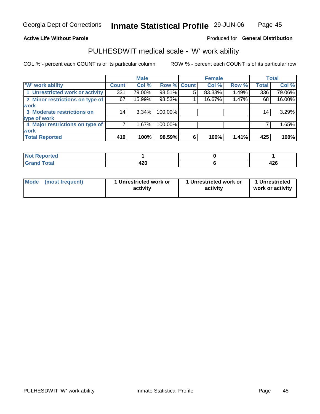#### **Active Life Without Parole**

#### Produced for **General Distribution**

### PULHESDWIT medical scale - 'W' work ability

|                                 |              | <b>Male</b> |                    |   | <b>Female</b> |       |              | Total  |
|---------------------------------|--------------|-------------|--------------------|---|---------------|-------|--------------|--------|
| W' work ability                 | <b>Count</b> | Col %       | <b>Row % Count</b> |   | Col %         | Row % | <b>Total</b> | Col %  |
| 1 Unrestricted work or activity | 331          | 79.00%      | 98.51%             | 5 | 83.33%        | 1.49% | 336          | 79.06% |
| 2 Minor restrictions on type of | 67           | $15.99\%$   | 98.53%             |   | 16.67%        | 1.47% | 68           | 16.00% |
| <b>work</b>                     |              |             |                    |   |               |       |              |        |
| 3 Moderate restrictions on      | 14           | $3.34\%$    | 100.00%            |   |               |       | 14           | 3.29%  |
| type of work                    |              |             |                    |   |               |       |              |        |
| 4 Major restrictions on type of |              | 1.67%       | 100.00%            |   |               |       |              | 1.65%  |
| <b>work</b>                     |              |             |                    |   |               |       |              |        |
| <b>Total Reported</b>           | 419          | 100%        | 98.59%             | 6 | 100%          | 1.41% | 425          | 100%   |

| <b>Not Reported</b> |             |          |
|---------------------|-------------|----------|
| <b>Grand Total</b>  | חרו<br>44 U | <br>44 U |

| <b>Mode</b><br>1 Unrestricted work or<br>1 Unrestricted work or<br>(most frequent)<br>activity<br>activity | 1 Unrestricted<br>work or activity |
|------------------------------------------------------------------------------------------------------------|------------------------------------|
|------------------------------------------------------------------------------------------------------------|------------------------------------|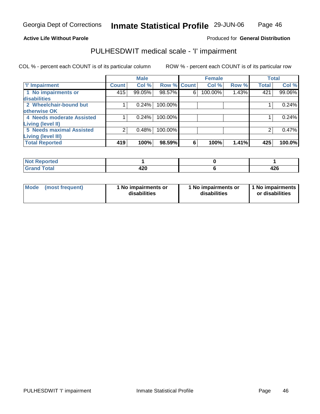### Page 46

#### **Active Life Without Parole**

### Produced for **General Distribution**

### PULHESDWIT medical scale - 'I' impairment

|                           |              | <b>Male</b> |                    |   | <b>Female</b> |       |              | <b>Total</b> |
|---------------------------|--------------|-------------|--------------------|---|---------------|-------|--------------|--------------|
| T' Impairment             | <b>Count</b> | Col %       | <b>Row % Count</b> |   | Col %         | Row % | <b>Total</b> | Col %        |
| 1 No impairments or       | 415          | 99.05%      | 98.57%             | 6 | 100.00%       | 1.43% | 421          | 99.06%       |
| disabilities              |              |             |                    |   |               |       |              |              |
| 2 Wheelchair-bound but    |              | 0.24%       | 100.00%            |   |               |       |              | 0.24%        |
| otherwise OK              |              |             |                    |   |               |       |              |              |
| 4 Needs moderate Assisted |              | 0.24%       | 100.00%            |   |               |       |              | 0.24%        |
| Living (level II)         |              |             |                    |   |               |       |              |              |
| 5 Needs maximal Assisted  | 2            | 0.48%       | 100.00%            |   |               |       |              | 0.47%        |
| <b>Living (level III)</b> |              |             |                    |   |               |       |              |              |
| <b>Total Reported</b>     | 419          | 100%        | 98.59%             | 6 | 100%          | 1.41% | 425          | 100.0%       |

| <b>Reported</b><br>NOT F |             |            |
|--------------------------|-------------|------------|
| Total<br>. Grar<br>Grand | חרי<br>44 U | ,,,<br>TŁV |

| Mode | (most frequent) | 1 No impairments or<br>disabilities | 1 No impairments or<br>disabilities | I 1 No impairments I<br>or disabilities |
|------|-----------------|-------------------------------------|-------------------------------------|-----------------------------------------|
|      |                 |                                     |                                     |                                         |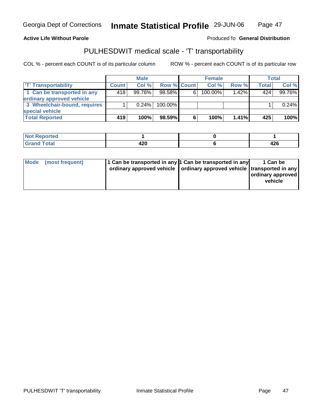Georgia Dept of Corrections

#### **Inmate Statistical Profile** 29-JUN-06 Page Page 47

#### **Active Life Without Parole Produced fo Seneral Distribution**

### PULHESDWIT medical scale - 'T' transportability

|                              |              | <b>Male</b> |                    |   | <b>Female</b> |          |       | Total  |
|------------------------------|--------------|-------------|--------------------|---|---------------|----------|-------|--------|
| <b>T' Transportability</b>   | <b>Count</b> | Col%        | <b>Row % Count</b> |   | Col %         | Row %    | Total | Col %  |
| 1 Can be transported in any  | 418          | $99.76\%$   | $98.58\%$          | 6 | 100.00%       | $1.42\%$ | 424   | 99.76% |
| ordinary approved vehicle    |              |             |                    |   |               |          |       |        |
| 3 Wheelchair-bound, requires |              | 0.24%       | $100.00\%$         |   |               |          |       | 0.24%  |
| special vehicle              |              |             |                    |   |               |          |       |        |
| <b>Total Reported</b>        | 419          | 100%        | 98.59%             | 6 | 100%          | $1.41\%$ | 425   | 100%   |

| <b>Not Reported</b> |      |      |
|---------------------|------|------|
| <b>Total</b>        | חרו  |      |
| Grar                | 44 U | 44 U |

| 11 Can be transported in any 1 Can be transported in any<br>Mode<br>(most frequent)<br>ordinary approved vehicle   ordinary approved vehicle   transported in any |  | 1 Can be<br>ordinary approved<br>vehicle |
|-------------------------------------------------------------------------------------------------------------------------------------------------------------------|--|------------------------------------------|
|-------------------------------------------------------------------------------------------------------------------------------------------------------------------|--|------------------------------------------|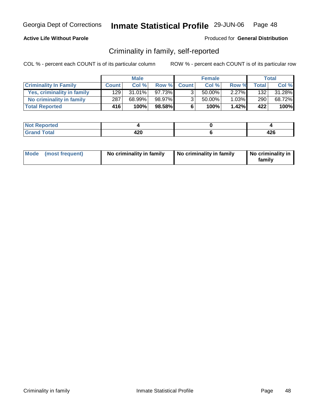### **Active Life Without Parole**

#### Produced for **General Distribution**

### Criminality in family, self-reported

|                              |              | <b>Male</b> |              |                | <b>Female</b> |       |              | Total  |
|------------------------------|--------------|-------------|--------------|----------------|---------------|-------|--------------|--------|
| <b>Criminality In Family</b> | <b>Count</b> | Col %       | <b>Row %</b> | <b>Count</b>   | Col %         | Row % | <b>Total</b> | Col %  |
| Yes, criminality in family   | 129          | $31.01\%$   | 97.73%       | 3 <sub>1</sub> | 50.00%        | 2.27% | 132          | 31.28% |
| No criminality in family     | 287          | 68.99%      | 98.97%       | 3 <sub>1</sub> | 50.00%        | 1.03% | 290          | 68.72% |
| <b>Total Reported</b>        | 416'         | 100%        | 98.58%       | 6              | 100%          | 1.42% | 422          | 100%   |

| rted                             |             |                |
|----------------------------------|-------------|----------------|
| المفمار<br><b>TULAI</b><br>----- | חהו<br>44 U | $\sim$<br>44 U |

| Mode (most frequent) | No criminality in family | No criminality in family | No criminality in<br>family |
|----------------------|--------------------------|--------------------------|-----------------------------|
|----------------------|--------------------------|--------------------------|-----------------------------|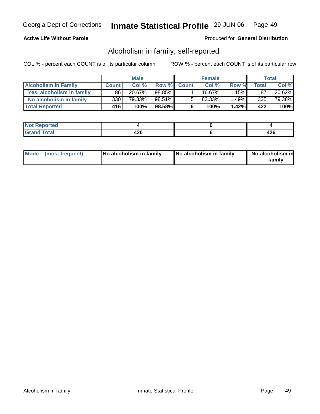#### **Active Life Without Parole**

#### Produced for **General Distribution**

### Alcoholism in family, self-reported

|                             |              | <b>Male</b> |        |             | <b>Female</b> |          |              | Total     |
|-----------------------------|--------------|-------------|--------|-------------|---------------|----------|--------------|-----------|
| <b>Alcoholism In Family</b> | <b>Count</b> | Col %       |        | Row % Count | Col %         | Row %    | <b>Total</b> | Col %     |
| Yes, alcoholism in family   | 86           | $20.67\%$   | 98.85% |             | 16.67%        | $1.15\%$ | 87           | $20.62\%$ |
| No alcoholism in family     | 330          | 79.33%      | 98.51% | 5           | 83.33%        | 1.49%    | 335          | 79.38%    |
| <b>Total Reported</b>       | 416          | 100%        | 98.58% | 6           | 100%          | 1.42%    | 422          | 100%      |

| ported<br>' N∩t∶             |                        |           |
|------------------------------|------------------------|-----------|
| <b>otal</b><br>Gran<br>----- | חלי.<br>44 U<br>$\sim$ | .<br>44 Y |

| Mode (most frequent)<br>No alcoholism in family | <b>No alcoholism in family</b> | No alcoholism in<br>familv |
|-------------------------------------------------|--------------------------------|----------------------------|
|-------------------------------------------------|--------------------------------|----------------------------|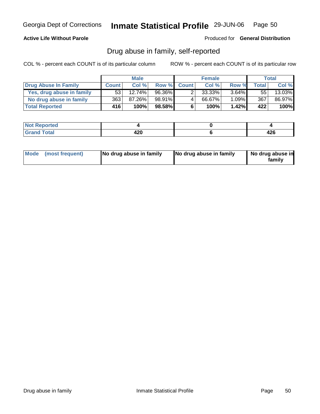#### **Active Life Without Parole**

Produced for **General Distribution**

### Drug abuse in family, self-reported

|                           |              | <b>Male</b> |              |              | <b>Female</b> |          |              | Total  |
|---------------------------|--------------|-------------|--------------|--------------|---------------|----------|--------------|--------|
| Drug Abuse In Family      | <b>Count</b> | Col %       | <b>Row %</b> | <b>Count</b> | Col %         | Row %    | <b>Total</b> | Col %  |
| Yes, drug abuse in family | 53           | $12.74\%$   | 96.36%       |              | 33.33%        | $3.64\%$ | 55           | 13.03% |
| No drug abuse in family   | 363          | 87.26%      | 98.91%       | 4            | 66.67%        | 1.09%    | 367          | 86.97% |
| <b>Total Reported</b>     | 416'         | 100%        | 98.58%       | 6            | 100%          | 1.42%    | 422          | 100%   |

| ported<br>' N∩t∶             |                        |           |
|------------------------------|------------------------|-----------|
| <b>otal</b><br>Gran<br>----- | חלי.<br>44 U<br>$\sim$ | .<br>44 Y |

| Mode (most frequent) |  | No drug abuse in family | No drug abuse in family | No drug abuse in<br>familv |
|----------------------|--|-------------------------|-------------------------|----------------------------|
|----------------------|--|-------------------------|-------------------------|----------------------------|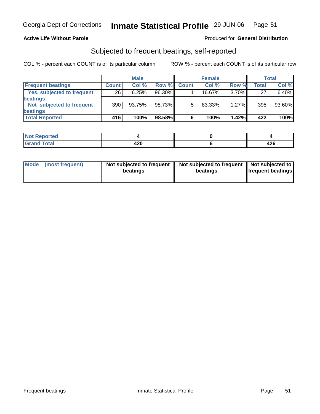#### **Active Life Without Parole**

#### Produced for **General Distribution**

### Subjected to frequent beatings, self-reported

|                            |                 | <b>Male</b> |           |              | <b>Female</b> |          |       | Total  |
|----------------------------|-----------------|-------------|-----------|--------------|---------------|----------|-------|--------|
| <b>Frequent beatings</b>   | <b>Count</b>    | Col%        | Row %     | <b>Count</b> | Col%          | Row %    | Total | Col %  |
| Yes, subjected to frequent | $\overline{26}$ | 6.25%       | $96.30\%$ |              | $16.67\%$     | $3.70\%$ | 27    | 6.40%  |
| <b>beatings</b>            |                 |             |           |              |               |          |       |        |
| Not subjected to frequent  | 390             | 93.75%      | 98.73%    | 5            | 83.33%        | 1.27%    | 395   | 93.60% |
| beatings                   |                 |             |           |              |               |          |       |        |
| <b>Total Reported</b>      | 416             | 100%        | 98.58%    | 6            | 100%          | 1.42%    | 422   | 100%   |

| <b>rted</b><br>m.<br>$\cdots$ |      |      |
|-------------------------------|------|------|
| $f \wedge f \wedge f'$        | חרו  |      |
| 'uai                          | 76 V | 44 U |

| Mode            | Not subjected to frequent | Not subjected to frequent | Not subjected to         |
|-----------------|---------------------------|---------------------------|--------------------------|
| (most frequent) | beatings                  | beatings                  | <b>frequent beatings</b> |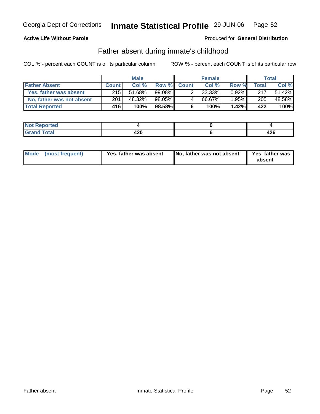### **Active Life Without Parole**

Produced for **General Distribution**

### Father absent during inmate's childhood

|                           |              | <b>Male</b> |        |             | <b>Female</b> |       |              | Total  |
|---------------------------|--------------|-------------|--------|-------------|---------------|-------|--------------|--------|
| <b>Father Absent</b>      | <b>Count</b> | Col %       |        | Row % Count | Col %         | Row % | <b>Total</b> | Col %  |
| Yes, father was absent    | 215          | 51.68%      | 99.08% |             | 33.33%        | 0.92% | 217          | 51.42% |
| No, father was not absent | 201          | 48.32%      | 98.05% | 4           | 66.67%        | 1.95% | 205          | 48.58% |
| <b>Total Reported</b>     | 416          | 100%        | 98.58% | 6           | 100%          | 1.42% | 422          | 100%   |

| ported<br>' N∩t∶             |                        |           |
|------------------------------|------------------------|-----------|
| <b>otal</b><br>Gran<br>----- | חלי.<br>44 U<br>$\sim$ | .<br>44 Y |

| Mode (most frequent) | Yes, father was absent | No, father was not absent | Yes, father was<br>absent |
|----------------------|------------------------|---------------------------|---------------------------|
|----------------------|------------------------|---------------------------|---------------------------|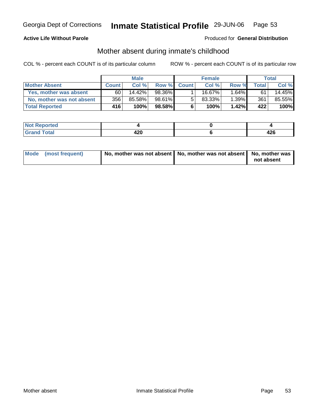### **Active Life Without Parole**

#### Produced for **General Distribution**

### Mother absent during inmate's childhood

|                           | <b>Male</b>  |           |        | <b>Female</b> |           |       | Total |        |
|---------------------------|--------------|-----------|--------|---------------|-----------|-------|-------|--------|
| <b>Mother Absent</b>      | <b>Count</b> | Col %     |        | Row % Count   | Col %     | Row % | Total | Col %  |
| Yes, mother was absent    | 60           | $14.42\%$ | 98.36% |               | 16.67%    | 1.64% | 61    | 14.45% |
| No, mother was not absent | 356          | 85.58%    | 98.61% | 5             | $83.33\%$ | 1.39% | 361   | 85.55% |
| <b>Total Reported</b>     | 416          | 100%      | 98.58% | 6             | 100%      | 1.42% | 422   | 100%   |

| ported<br>' N∩t∶             |                        |           |
|------------------------------|------------------------|-----------|
| <b>otal</b><br>Gran<br>----- | חלי.<br>44 U<br>$\sim$ | .<br>44 Y |

| Mode (most frequent) | No, mother was not absent   No, mother was not absent   No, mother was |            |
|----------------------|------------------------------------------------------------------------|------------|
|                      |                                                                        | not absent |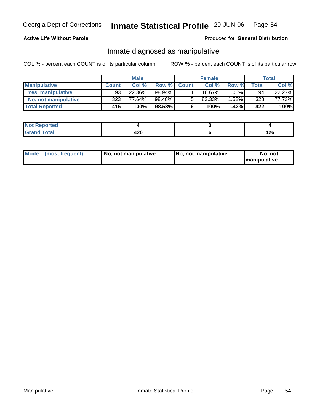### **Active Life Without Parole**

#### Produced for **General Distribution**

### Inmate diagnosed as manipulative

|                          | <b>Male</b>  |        |        | <b>Female</b> |         |          | Total |        |
|--------------------------|--------------|--------|--------|---------------|---------|----------|-------|--------|
| <b>Manipulative</b>      | <b>Count</b> | Col %  | Row %  | <b>Count</b>  | Col %   | Row %    | Total | Col %  |
| <b>Yes, manipulative</b> | 93           | 22.36% | 98.94% |               | 16.67%। | 1.06%    | 94    | 22.27% |
| No, not manipulative     | 323          | 77.64% | 98.48% | 5             | 83.33%  | $1.52\%$ | 328   | 77.73% |
| <b>Total Reported</b>    | 416'         | 100%   | 98.58% | 6             | 100%    | $1.42\%$ | 422   | 100%   |

| oorted<br><b>NOT</b>  |                       |            |
|-----------------------|-----------------------|------------|
| <b>otal</b><br>$\sim$ | חרי<br>44 U<br>$\sim$ | 10C<br>444 |

| <b>Mode</b><br>(most frequent)<br>  No. not manipulative | No, not manipulative | No, not<br><b>Imanipulative</b> |
|----------------------------------------------------------|----------------------|---------------------------------|
|----------------------------------------------------------|----------------------|---------------------------------|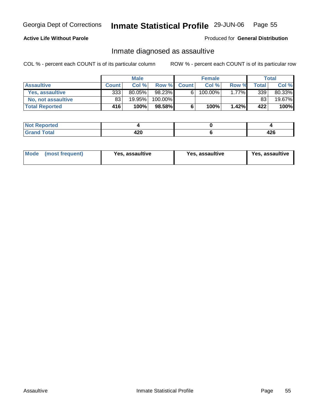#### **Active Life Without Parole**

#### Produced for **General Distribution**

### Inmate diagnosed as assaultive

|                       | <b>Male</b>  |           |         | <b>Female</b> |         |       | Total        |        |
|-----------------------|--------------|-----------|---------|---------------|---------|-------|--------------|--------|
| <b>Assaultive</b>     | <b>Count</b> | Col %     |         | Row % Count   | Col %   | Row % | <b>Total</b> | Col %  |
| Yes, assaultive       | 333          | $80.05\%$ | 98.23%  | 6             | 100.00% | 1.77% | 339          | 80.33% |
| No, not assaultive    | 83           | 19.95%    | 100.00% |               |         |       | 83           | 19.67% |
| <b>Total Reported</b> | 416'         | 100%      | 98.58%  | 6             | 100%    | 1.42% | 422          | 100%   |

| Reported<br><b>NO</b> |                   |             |
|-----------------------|-------------------|-------------|
| <b>Total</b>          | חרי<br>44 U<br>__ | י ה<br>44 U |

| <b>Mode</b><br>Yes, assaultive<br>(most frequent) | Yes, assaultive | Yes, assaultive |
|---------------------------------------------------|-----------------|-----------------|
|---------------------------------------------------|-----------------|-----------------|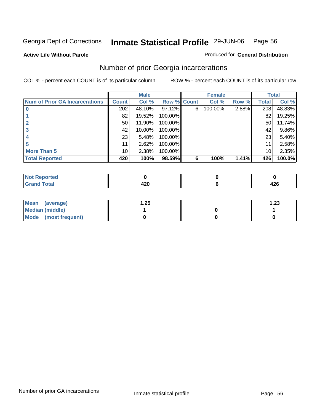#### **Active Life Without Parole**

### Produced for **General Distribution**

### Number of prior Georgia incarcerations

|                                       |                 | <b>Male</b> |                    |   | <b>Female</b> |       |       | <b>Total</b> |
|---------------------------------------|-----------------|-------------|--------------------|---|---------------|-------|-------|--------------|
| <b>Num of Prior GA Incarcerations</b> | <b>Count</b>    | Col %       | <b>Row % Count</b> |   | Col %         | Row % | Total | Col %        |
|                                       | 202             | 48.10%      | 97.12%             | 6 | 100.00%       | 2.88% | 208   | 48.83%       |
|                                       | 82              | 19.52%      | 100.00%            |   |               |       | 82    | 19.25%       |
|                                       | 50 <sub>1</sub> | 11.90%      | 100.00%            |   |               |       | 50    | 11.74%       |
|                                       | 42              | 10.00%      | 100.00%            |   |               |       | 42    | $9.86\%$     |
|                                       | 23 <sub>1</sub> | 5.48%       | 100.00%            |   |               |       | 23    | 5.40%        |
|                                       | 11              | 2.62%       | 100.00%            |   |               |       | 11    | 2.58%        |
| <b>More Than 5</b>                    | 10 <sup>1</sup> | 2.38%       | 100.00%            |   |               |       | 10    | 2.35%        |
| <b>Total Reported</b>                 | 420             | 100%        | 98.59%             | 6 | 100%          | 1.41% | 426   | 100.0%       |

| --<br>$-1$ |                      |               |
|------------|----------------------|---------------|
|            | - -<br>- -<br>$\sim$ | 1 J G<br>44 U |

| Mean (average)       | 25. ا | l.23 |
|----------------------|-------|------|
| Median (middle)      |       |      |
| Mode (most frequent) |       |      |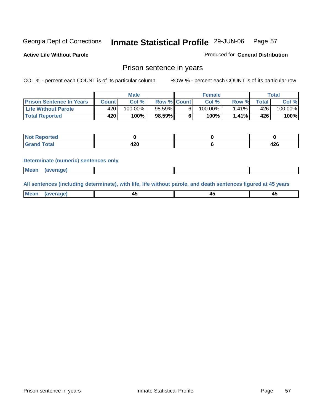**Active Life Without Parole** 

Produced for **General Distribution**

### Prison sentence in years

COL % - percent each COUNT is of its particular column ROW % - percent each COUNT is of its particular row

|                                 |                  | <b>Male</b> |                    | <b>Female</b> |           |                | Total   |
|---------------------------------|------------------|-------------|--------------------|---------------|-----------|----------------|---------|
| <b>Prison Sentence In Years</b> | <b>Count</b>     | Col %       | <b>Row % Count</b> | Col %         | Row %     | <b>Total</b> I | Col %   |
| <b>Life Without Parole</b>      | 420 <sup>1</sup> | $100.00\%$  | $98.59\%$          | $100.00\%$    | $ .41\% $ | 426            | 100.00% |
| <b>Total Reported</b>           | 420              | 100%        | 98.59%             | 100%          | 1.41%     | 426'           | 100%    |

| <b>roorted</b> |     |      |
|----------------|-----|------|
| <b>Total</b>   | חהו | 10C  |
| $\sim$ .       | 44V | 44 U |

#### **Determinate (numeric) sentences only**

|  | <b>Mean</b><br>(average) |  |  |  |
|--|--------------------------|--|--|--|
|--|--------------------------|--|--|--|

**All sentences (including determinate), with life, life without parole, and death sentences figured at 45 years**

| <b>Me</b><br>_____ | -- |  |
|--------------------|----|--|
|                    |    |  |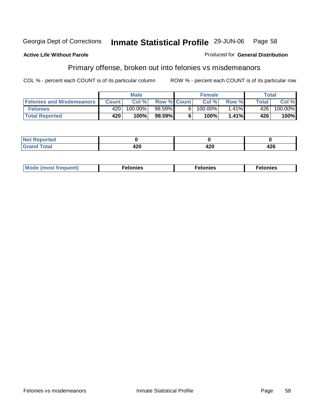#### **Active Life Without Parole**

# Produced for **General Distribution**

# Primary offense, broken out into felonies vs misdemeanors

|                                  |              | <b>Male</b> |                    | <b>Female</b> |          | Total |            |
|----------------------------------|--------------|-------------|--------------------|---------------|----------|-------|------------|
| <b>Felonies and Misdemeanors</b> | <b>Count</b> | Col%        | <b>Row % Count</b> | Col %         | Row %    | Total | Col %      |
| <b>Felonies</b>                  | 4201         | 100.00%     | 98.59%             | $100.00\%$    | $1.41\%$ | 426   | $100.00\%$ |
| <b>Total Reported</b>            | 420          | 100%        | $98.59\%$          | 100%          | 1.41%    | 426   | 100%       |

| <b>Not Reported</b><br>.     |        |              |     |
|------------------------------|--------|--------------|-----|
| <b>Total</b><br><b>Grand</b> | $\sim$ | A ממ<br>42 U | 426 |

| <b>Mo</b><br>requent)<br>onies<br>.<br>____ | nies.<br>חי<br>____ | <b>onies</b><br>. |
|---------------------------------------------|---------------------|-------------------|
|---------------------------------------------|---------------------|-------------------|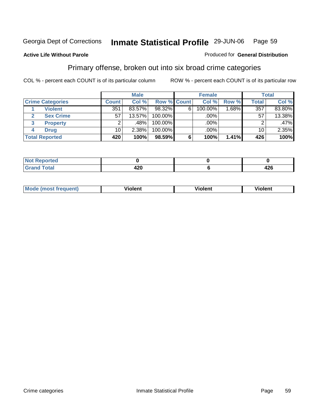#### **Active Life Without Parole**

#### Produced for **General Distribution**

### Primary offense, broken out into six broad crime categories

|                         |                 | <b>Male</b> |             |   | <b>Female</b> |          |                 | <b>Total</b> |
|-------------------------|-----------------|-------------|-------------|---|---------------|----------|-----------------|--------------|
| <b>Crime Categories</b> | <b>Count</b>    | Col %       | Row % Count |   | Col %         | Row %    | Total           | Col %        |
| <b>Violent</b>          | 351             | 83.57%      | 98.32%      | 6 | 100.00%       | $1.68\%$ | 357             | 83.80%       |
| <b>Sex Crime</b><br>2   | 57              | $13.57\%$   | 100.00%     |   | .00%          |          | 57              | 13.38%       |
| 3<br><b>Property</b>    | 2               | .48%        | 100.00%     |   | .00%          |          | ◠               | $.47\%$      |
| <b>Drug</b><br>4        | 10 <sub>1</sub> | 2.38%       | 100.00%     |   | $.00\%$       |          | 10 <sub>1</sub> | 2.35%        |
| <b>Total Reported</b>   | 420             | 100%        | 98.59%      | 6 | 100%          | 1.41%    | 426             | 100%         |

| ____ | .<br>−∠∪ | ハウム<br>−∠∪ |
|------|----------|------------|

| <b>Mode</b><br>'reauent) | .<br>iolent<br>____ | <br>∕iolent | <br>∨iolent |
|--------------------------|---------------------|-------------|-------------|
|                          |                     |             |             |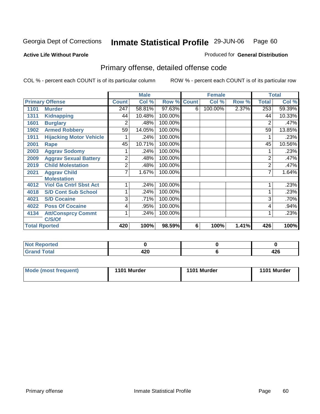#### **Active Life Without Parole**

#### Produced for **General Distribution**

# Primary offense, detailed offense code

|                      |                                |              | <b>Male</b> |         |              | <b>Female</b> |       |                | <b>Total</b> |
|----------------------|--------------------------------|--------------|-------------|---------|--------------|---------------|-------|----------------|--------------|
|                      | <b>Primary Offense</b>         | <b>Count</b> | Col %       | Row %   | <b>Count</b> | Col %         | Row % | <b>Total</b>   | Col %        |
| 1101                 | <b>Murder</b>                  | 247          | 58.81%      | 97.63%  | 6            | 100.00%       | 2.37% | 253            | 59.39%       |
| 1311                 | <b>Kidnapping</b>              | 44           | 10.48%      | 100.00% |              |               |       | 44             | 10.33%       |
| 1601                 | <b>Burglary</b>                | 2            | .48%        | 100.00% |              |               |       | 2              | .47%         |
| 1902                 | <b>Armed Robbery</b>           | 59           | 14.05%      | 100.00% |              |               |       | 59             | 13.85%       |
| 1911                 | <b>Hijacking Motor Vehicle</b> |              | .24%        | 100.00% |              |               |       |                | .23%         |
| 2001                 | Rape                           | 45           | 10.71%      | 100.00% |              |               |       | 45             | 10.56%       |
| 2003                 | <b>Aggrav Sodomy</b>           |              | .24%        | 100.00% |              |               |       |                | .23%         |
| 2009                 | <b>Aggrav Sexual Battery</b>   | 2            | .48%        | 100.00% |              |               |       | $\overline{2}$ | .47%         |
| 2019                 | <b>Child Molestation</b>       | 2            | .48%        | 100.00% |              |               |       | $\overline{2}$ | .47%         |
| 2021                 | <b>Aggrav Child</b>            | 7            | 1.67%       | 100.00% |              |               |       | 7              | 1.64%        |
|                      | <b>Molestation</b>             |              |             |         |              |               |       |                |              |
| 4012                 | <b>Viol Ga Cntrl Sbst Act</b>  |              | .24%        | 100.00% |              |               |       |                | .23%         |
| 4018                 | <b>S/D Cont Sub School</b>     |              | .24%        | 100.00% |              |               |       | 1              | .23%         |
| 4021                 | <b>S/D Cocaine</b>             | 3            | .71%        | 100.00% |              |               |       | 3              | .70%         |
| 4022                 | <b>Poss Of Cocaine</b>         | 4            | .95%        | 100.00% |              |               |       | 4              | .94%         |
| 4134                 | <b>Att/Consprcy Commt</b>      |              | .24%        | 100.00% |              |               |       |                | .23%         |
|                      | C/S/Of                         |              |             |         |              |               |       |                |              |
| <b>Total Rported</b> |                                | 420          | 100%        | 98.59%  | 6            | 100%          | 1.41% | 426            | 100%         |

| <b>Not</b><br>Reported<br>$\sim$ |      |     |
|----------------------------------|------|-----|
| <b>Total</b>                     | "^^  | ,,, |
| ' Grand                          | 44 U | 744 |

| <b>Mode (most frequent)</b> | 1101 Murder | 1101 Murder | 1101 Murder |
|-----------------------------|-------------|-------------|-------------|
|-----------------------------|-------------|-------------|-------------|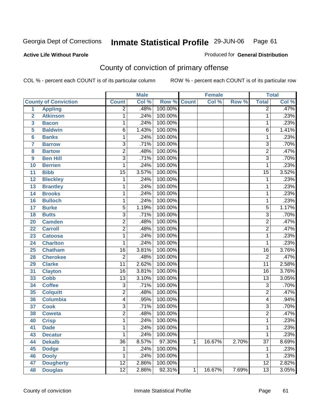Produced for **General Distribution**

#### **Active Life Without Parole**

# County of conviction of primary offense

|                         |                             |                 | <b>Male</b> |                    |              | <b>Female</b> |       |                 | <b>Total</b> |
|-------------------------|-----------------------------|-----------------|-------------|--------------------|--------------|---------------|-------|-----------------|--------------|
|                         | <b>County of Conviction</b> | <b>Count</b>    | Col %       | <b>Row % Count</b> |              | Col %         | Row % | <b>Total</b>    | Col %        |
| 1                       | <b>Appling</b>              | $\overline{2}$  | .48%        | 100.00%            |              |               |       | $\overline{2}$  | .47%         |
| $\overline{2}$          | <b>Atkinson</b>             | 1               | .24%        | 100.00%            |              |               |       | 1               | .23%         |
| $\overline{\mathbf{3}}$ | <b>Bacon</b>                | 1               | .24%        | 100.00%            |              |               |       | $\mathbf 1$     | .23%         |
| 5                       | <b>Baldwin</b>              | 6               | 1.43%       | 100.00%            |              |               |       | $\overline{6}$  | 1.41%        |
| 6                       | <b>Banks</b>                | 1               | .24%        | 100.00%            |              |               |       | 1               | .23%         |
| $\overline{7}$          | <b>Barrow</b>               | $\overline{3}$  | .71%        | 100.00%            |              |               |       | $\overline{3}$  | .70%         |
| 8                       | <b>Bartow</b>               | $\overline{2}$  | .48%        | 100.00%            |              |               |       | $\overline{2}$  | .47%         |
| 9                       | <b>Ben Hill</b>             | $\overline{3}$  | .71%        | 100.00%            |              |               |       | $\overline{3}$  | .70%         |
| 10                      | <b>Berrien</b>              | 1               | .24%        | 100.00%            |              |               |       | $\mathbf{1}$    | .23%         |
| 11                      | <b>Bibb</b>                 | $\overline{15}$ | 3.57%       | 100.00%            |              |               |       | $\overline{15}$ | 3.52%        |
| 12                      | <b>Bleckley</b>             | 1               | .24%        | 100.00%            |              |               |       | $\mathbf 1$     | .23%         |
| 13                      | <b>Brantley</b>             | 1               | .24%        | 100.00%            |              |               |       | $\mathbf 1$     | .23%         |
| 14                      | <b>Brooks</b>               | 1               | .24%        | 100.00%            |              |               |       | $\mathbf 1$     | .23%         |
| 16                      | <b>Bulloch</b>              | 1               | .24%        | 100.00%            |              |               |       | $\mathbf 1$     | .23%         |
| 17                      | <b>Burke</b>                | $\overline{5}$  | 1.19%       | 100.00%            |              |               |       | 5               | 1.17%        |
| 18                      | <b>Butts</b>                | $\overline{3}$  | .71%        | 100.00%            |              |               |       | $\overline{3}$  | .70%         |
| 20                      | <b>Camden</b>               | $\overline{2}$  | .48%        | 100.00%            |              |               |       | $\overline{2}$  | .47%         |
| 22                      | <b>Carroll</b>              | $\overline{2}$  | .48%        | 100.00%            |              |               |       | $\overline{2}$  | .47%         |
| 23                      | <b>Catoosa</b>              | 1               | .24%        | 100.00%            |              |               |       | $\mathbf 1$     | .23%         |
| 24                      | <b>Charlton</b>             | 1               | .24%        | 100.00%            |              |               |       | 1               | .23%         |
| 25                      | <b>Chatham</b>              | $\overline{16}$ | 3.81%       | 100.00%            |              |               |       | $\overline{16}$ | 3.76%        |
| 28                      | <b>Cherokee</b>             | $\overline{2}$  | .48%        | 100.00%            |              |               |       | $\overline{2}$  | .47%         |
| 29                      | <b>Clarke</b>               | $\overline{11}$ | 2.62%       | 100.00%            |              |               |       | $\overline{11}$ | 2.58%        |
| 31                      | <b>Clayton</b>              | $\overline{16}$ | 3.81%       | 100.00%            |              |               |       | 16              | 3.76%        |
| 33                      | <b>Cobb</b>                 | $\overline{13}$ | 3.10%       | 100.00%            |              |               |       | $\overline{13}$ | 3.05%        |
| 34                      | <b>Coffee</b>               | 3               | .71%        | 100.00%            |              |               |       | 3               | .70%         |
| 35                      | <b>Colquitt</b>             | $\overline{2}$  | .48%        | 100.00%            |              |               |       | $\overline{2}$  | .47%         |
| 36                      | <b>Columbia</b>             | 4               | .95%        | 100.00%            |              |               |       | 4               | .94%         |
| 37                      | <b>Cook</b>                 | $\overline{3}$  | .71%        | 100.00%            |              |               |       | $\overline{3}$  | .70%         |
| 38                      | <b>Coweta</b>               | $\overline{2}$  | .48%        | 100.00%            |              |               |       | $\overline{2}$  | .47%         |
| 40                      | <b>Crisp</b>                | 1               | .24%        | 100.00%            |              |               |       | 1               | .23%         |
| 41                      | <b>Dade</b>                 | 1               | .24%        | 100.00%            |              |               |       | 1               | .23%         |
| 43                      | <b>Decatur</b>              | $\mathbf{1}$    | .24%        | 100.00%            |              |               |       | 1               | .23%         |
| 44                      | <b>Dekalb</b>               | $\overline{36}$ | 8.57%       | 97.30%             | $\mathbf{1}$ | 16.67%        | 2.70% | $\overline{37}$ | 8.69%        |
| 45                      | <b>Dodge</b>                | 1               | .24%        | 100.00%            |              |               |       | 1               | .23%         |
| 46                      | <b>Dooly</b>                | 1               | .24%        | 100.00%            |              |               |       | 1               | .23%         |
| 47                      | <b>Dougherty</b>            | $\overline{12}$ | 2.86%       | 100.00%            |              |               |       | $\overline{12}$ | 2.82%        |
| 48                      | <b>Douglas</b>              | $\overline{12}$ | 2.86%       | 92.31%             | $\mathbf{1}$ | 16.67%        | 7.69% | $\overline{13}$ | 3.05%        |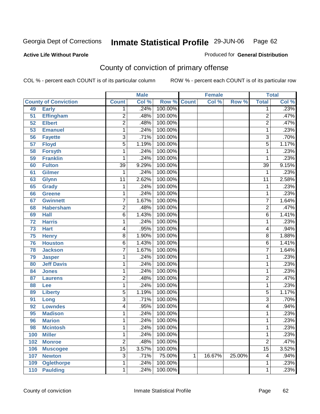#### **Active Life Without Parole**

### Produced for **General Distribution**

# County of conviction of primary offense

|                 |                             |                 | <b>Male</b> |         |              | <b>Female</b> |        |                          | <b>Total</b>               |
|-----------------|-----------------------------|-----------------|-------------|---------|--------------|---------------|--------|--------------------------|----------------------------|
|                 | <b>County of Conviction</b> | <b>Count</b>    | Col %       | Row %   | <b>Count</b> | Col %         | Row %  | <b>Total</b>             | $\overline{\text{Col }\%}$ |
| 49              | <b>Early</b>                | 1               | .24%        | 100.00% |              |               |        | 1                        | .23%                       |
| 51              | <b>Effingham</b>            | $\overline{2}$  | .48%        | 100.00% |              |               |        | $\overline{2}$           | .47%                       |
| 52              | <b>Elbert</b>               | $\overline{2}$  | .48%        | 100.00% |              |               |        | $\overline{2}$           | .47%                       |
| 53              | <b>Emanuel</b>              | 1               | .24%        | 100.00% |              |               |        | 1                        | .23%                       |
| 56              | <b>Fayette</b>              | 3               | .71%        | 100.00% |              |               |        | $\overline{3}$           | .70%                       |
| $\overline{57}$ | <b>Floyd</b>                | $\overline{5}$  | 1.19%       | 100.00% |              |               |        | $\overline{5}$           | 1.17%                      |
| 58              | <b>Forsyth</b>              | 1               | .24%        | 100.00% |              |               |        | 1                        | .23%                       |
| 59              | <b>Franklin</b>             | 1               | .24%        | 100.00% |              |               |        | 1                        | .23%                       |
| 60              | <b>Fulton</b>               | $\overline{39}$ | 9.29%       | 100.00% |              |               |        | $\overline{39}$          | 9.15%                      |
| 61              | Gilmer                      | 1               | .24%        | 100.00% |              |               |        | 1                        | .23%                       |
| 63              | <b>Glynn</b>                | 11              | 2.62%       | 100.00% |              |               |        | $\overline{11}$          | 2.58%                      |
| 65              | <b>Grady</b>                | 1               | .24%        | 100.00% |              |               |        | 1                        | .23%                       |
| 66              | <b>Greene</b>               | 1               | .24%        | 100.00% |              |               |        | 1                        | .23%                       |
| 67              | <b>Gwinnett</b>             | $\overline{7}$  | 1.67%       | 100.00% |              |               |        | $\overline{7}$           | 1.64%                      |
| 68              | <b>Habersham</b>            | $\overline{2}$  | .48%        | 100.00% |              |               |        | $\overline{2}$           | .47%                       |
| 69              | <b>Hall</b>                 | $\overline{6}$  | 1.43%       | 100.00% |              |               |        | $\overline{6}$           | 1.41%                      |
| 72              | <b>Harris</b>               | 1               | .24%        | 100.00% |              |               |        | 1                        | .23%                       |
| 73              | <b>Hart</b>                 | 4               | .95%        | 100.00% |              |               |        | 4                        | .94%                       |
| 75              | <b>Henry</b>                | $\overline{8}$  | 1.90%       | 100.00% |              |               |        | $\overline{8}$           | 1.88%                      |
| 76              | <b>Houston</b>              | $\overline{6}$  | 1.43%       | 100.00% |              |               |        | $\overline{6}$           | 1.41%                      |
| 78              | <b>Jackson</b>              | $\overline{7}$  | 1.67%       | 100.00% |              |               |        | $\overline{7}$           | 1.64%                      |
| 79              | <b>Jasper</b>               | 1               | .24%        | 100.00% |              |               |        | 1                        | .23%                       |
| 80              | <b>Jeff Davis</b>           | 1               | .24%        | 100.00% |              |               |        | 1                        | .23%                       |
| 84              | <b>Jones</b>                | 1               | .24%        | 100.00% |              |               |        | $\mathbf{1}$             | .23%                       |
| 87              | <b>Laurens</b>              | $\overline{2}$  | .48%        | 100.00% |              |               |        | $\overline{2}$           | .47%                       |
| 88              | Lee                         | 1               | .24%        | 100.00% |              |               |        | 1                        | .23%                       |
| 89              | <b>Liberty</b>              | 5               | 1.19%       | 100.00% |              |               |        | $\overline{5}$           | 1.17%                      |
| 91              | Long                        | $\overline{3}$  | .71%        | 100.00% |              |               |        | $\overline{3}$           | .70%                       |
| 92              | <b>Lowndes</b>              | 4               | .95%        | 100.00% |              |               |        | $\overline{\mathcal{A}}$ | .94%                       |
| 95              | <b>Madison</b>              | 1               | .24%        | 100.00% |              |               |        | 1                        | .23%                       |
| 96              | <b>Marion</b>               | 1               | .24%        | 100.00% |              |               |        | 1                        | .23%                       |
| 98              | <b>Mcintosh</b>             | 1               | .24%        | 100.00% |              |               |        | 1                        | .23%                       |
| 100             | <b>Miller</b>               | 1               | .24%        | 100.00% |              |               |        | 1                        | .23%                       |
| 102             | <b>Monroe</b>               | $\overline{2}$  | .48%        | 100.00% |              |               |        | $\overline{2}$           | .47%                       |
| 106             | <b>Muscogee</b>             | $\overline{15}$ | 3.57%       | 100.00% |              |               |        | $\overline{15}$          | 3.52%                      |
| 107             | <b>Newton</b>               | $\overline{3}$  | .71%        | 75.00%  | $\mathbf 1$  | 16.67%        | 25.00% | 4                        | .94%                       |
| 109             | <b>Oglethorpe</b>           | 1               | .24%        | 100.00% |              |               |        | 1                        | .23%                       |
| 110             | <b>Paulding</b>             | 1               | .24%        | 100.00% |              |               |        | 1                        | .23%                       |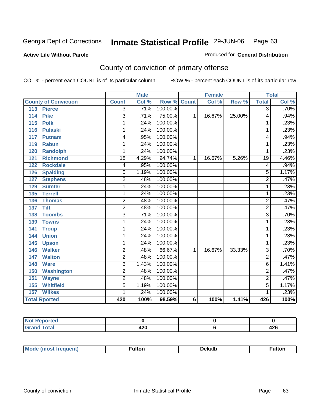#### **Active Life Without Parole**

#### Produced for **General Distribution**

# County of conviction of primary offense

|                             |                 | <b>Male</b> |                    |                | <b>Female</b> |        |                | <b>Total</b> |
|-----------------------------|-----------------|-------------|--------------------|----------------|---------------|--------|----------------|--------------|
| <b>County of Conviction</b> | <b>Count</b>    | Col %       | <b>Row % Count</b> |                | Col %         | Row %  | <b>Total</b>   | CoI%         |
| <b>Pierce</b><br>113        | 3               | .71%        | 100.00%            |                |               |        | $\overline{3}$ | .70%         |
| 114<br><b>Pike</b>          | 3               | .71%        | 75.00%             | $\mathbf{1}$   | 16.67%        | 25.00% | 4              | .94%         |
| 115<br><b>Polk</b>          | 1               | .24%        | 100.00%            |                |               |        | 1              | .23%         |
| 116<br><b>Pulaski</b>       | 1               | .24%        | 100.00%            |                |               |        | 1              | .23%         |
| 117<br><b>Putnam</b>        | 4               | .95%        | 100.00%            |                |               |        | 4              | .94%         |
| 119<br><b>Rabun</b>         | 1               | .24%        | 100.00%            |                |               |        | $\mathbf{1}$   | .23%         |
| <b>Randolph</b><br>120      | 1               | .24%        | 100.00%            |                |               |        | 1              | .23%         |
| <b>Richmond</b><br>121      | $\overline{18}$ | 4.29%       | 94.74%             | 1              | 16.67%        | 5.26%  | 19             | 4.46%        |
| <b>Rockdale</b><br>122      | 4               | .95%        | 100.00%            |                |               |        | 4              | .94%         |
| <b>Spalding</b><br>126      | 5               | 1.19%       | 100.00%            |                |               |        | 5              | 1.17%        |
| <b>Stephens</b><br>127      | $\overline{2}$  | .48%        | 100.00%            |                |               |        | $\overline{2}$ | .47%         |
| 129<br><b>Sumter</b>        | 1               | .24%        | 100.00%            |                |               |        | 1              | .23%         |
| <b>Terrell</b><br>135       | 1               | .24%        | 100.00%            |                |               |        | 1              | .23%         |
| 136<br><b>Thomas</b>        | $\overline{2}$  | .48%        | 100.00%            |                |               |        | $\overline{2}$ | .47%         |
| <b>Tift</b><br>137          | $\overline{2}$  | .48%        | 100.00%            |                |               |        | $\overline{2}$ | .47%         |
| <b>Toombs</b><br>138        | $\overline{3}$  | .71%        | 100.00%            |                |               |        | $\overline{3}$ | .70%         |
| <b>Towns</b><br>139         | 1               | .24%        | 100.00%            |                |               |        | 1              | .23%         |
| 141<br><b>Troup</b>         | 1               | .24%        | 100.00%            |                |               |        | 1              | .23%         |
| <b>Union</b><br>144         | 1               | .24%        | 100.00%            |                |               |        | 1              | .23%         |
| <b>Upson</b><br>145         | 1               | .24%        | 100.00%            |                |               |        | 1              | .23%         |
| <b>Walker</b><br>146        | $\overline{2}$  | .48%        | 66.67%             | $\mathbf{1}$   | 16.67%        | 33.33% | $\overline{3}$ | .70%         |
| <b>Walton</b><br>147        | $\overline{2}$  | .48%        | 100.00%            |                |               |        | $\overline{2}$ | .47%         |
| 148<br><b>Ware</b>          | $\overline{6}$  | 1.43%       | 100.00%            |                |               |        | 6              | 1.41%        |
| Washington<br>150           | $\overline{2}$  | .48%        | 100.00%            |                |               |        | $\overline{2}$ | .47%         |
| 151<br><b>Wayne</b>         | $\overline{2}$  | .48%        | 100.00%            |                |               |        | $\overline{2}$ | .47%         |
| <b>Whitfield</b><br>155     | $\overline{5}$  | 1.19%       | 100.00%            |                |               |        | $\overline{5}$ | 1.17%        |
| <b>Wilkes</b><br>157        | 1               | .24%        | 100.00%            |                |               |        | 1              | .23%         |
| <b>Total Rported</b>        | 420             | 100%        | 98.59%             | $6\phantom{1}$ | 100%          | 1.41%  | 426            | 100%         |

| المتماسية والمتحد<br>orteo |              |         |
|----------------------------|--------------|---------|
| $T0$ tol                   | A O O<br>42U | <br>TŁY |

| Mo<br>nuent)<br>$\cdots$ |  | Dekalb | ultor |
|--------------------------|--|--------|-------|
|--------------------------|--|--------|-------|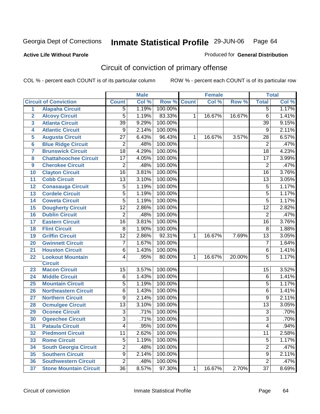#### **Active Life Without Parole**

#### Produced for **General Distribution**

# Circuit of conviction of primary offense

|                         |                               |                 | <b>Male</b> |         |              | <b>Female</b> |        |                 | <b>Total</b>               |
|-------------------------|-------------------------------|-----------------|-------------|---------|--------------|---------------|--------|-----------------|----------------------------|
|                         | <b>Circuit of Conviction</b>  | <b>Count</b>    | Col %       | Row %   | <b>Count</b> | Col %         | Row %  | <b>Total</b>    | $\overline{\text{Col }^9}$ |
| $\overline{1}$          | <b>Alapaha Circuit</b>        | 5               | 1.19%       | 100.00% |              |               |        | 5               | 1.17%                      |
| $\overline{2}$          | <b>Alcovy Circuit</b>         | 5               | 1.19%       | 83.33%  | 1            | 16.67%        | 16.67% | 6               | 1.41%                      |
| $\overline{\mathbf{3}}$ | <b>Atlanta Circuit</b>        | $\overline{39}$ | 9.29%       | 100.00% |              |               |        | $\overline{39}$ | 9.15%                      |
| 4                       | <b>Atlantic Circuit</b>       | 9               | 2.14%       | 100.00% |              |               |        | $\overline{9}$  | 2.11%                      |
| 5                       | <b>Augusta Circuit</b>        | $\overline{27}$ | 6.43%       | 96.43%  | 1            | 16.67%        | 3.57%  | 28              | 6.57%                      |
| $6\phantom{a}6$         | <b>Blue Ridge Circuit</b>     | $\overline{2}$  | .48%        | 100.00% |              |               |        | $\overline{2}$  | .47%                       |
| $\overline{7}$          | <b>Brunswick Circuit</b>      | $\overline{18}$ | 4.29%       | 100.00% |              |               |        | 18              | 4.23%                      |
| 8                       | <b>Chattahoochee Circuit</b>  | 17              | 4.05%       | 100.00% |              |               |        | $\overline{17}$ | 3.99%                      |
| 9                       | <b>Cherokee Circuit</b>       | $\overline{2}$  | .48%        | 100.00% |              |               |        | 2               | .47%                       |
| 10                      | <b>Clayton Circuit</b>        | $\overline{16}$ | 3.81%       | 100.00% |              |               |        | $\overline{16}$ | 3.76%                      |
| 11                      | <b>Cobb Circuit</b>           | 13              | 3.10%       | 100.00% |              |               |        | 13              | 3.05%                      |
| 12                      | <b>Conasauga Circuit</b>      | $\overline{5}$  | 1.19%       | 100.00% |              |               |        | $\overline{5}$  | 1.17%                      |
| 13                      | <b>Cordele Circuit</b>        | $\overline{5}$  | 1.19%       | 100.00% |              |               |        | 5               | 1.17%                      |
| 14                      | <b>Coweta Circuit</b>         | $\overline{5}$  | 1.19%       | 100.00% |              |               |        | $\overline{5}$  | 1.17%                      |
| 15                      | <b>Dougherty Circuit</b>      | $\overline{12}$ | 2.86%       | 100.00% |              |               |        | $\overline{12}$ | 2.82%                      |
| 16                      | <b>Dublin Circuit</b>         | $\overline{2}$  | .48%        | 100.00% |              |               |        | $\overline{2}$  | .47%                       |
| 17                      | <b>Eastern Circuit</b>        | 16              | 3.81%       | 100.00% |              |               |        | 16              | 3.76%                      |
| 18                      | <b>Flint Circuit</b>          | 8               | 1.90%       | 100.00% |              |               |        | 8               | 1.88%                      |
| 19                      | <b>Griffin Circuit</b>        | $\overline{12}$ | 2.86%       | 92.31%  | 1            | 16.67%        | 7.69%  | $\overline{13}$ | 3.05%                      |
| 20                      | <b>Gwinnett Circuit</b>       | $\overline{7}$  | 1.67%       | 100.00% |              |               |        | $\overline{7}$  | 1.64%                      |
| 21                      | <b>Houston Circuit</b>        | 6               | 1.43%       | 100.00% |              |               |        | $\,6$           | 1.41%                      |
| 22                      | <b>Lookout Mountain</b>       | 4               | .95%        | 80.00%  | 1            | 16.67%        | 20.00% | $\overline{5}$  | 1.17%                      |
|                         | <b>Circuit</b>                |                 |             |         |              |               |        |                 |                            |
| 23                      | <b>Macon Circuit</b>          | 15              | 3.57%       | 100.00% |              |               |        | 15              | 3.52%                      |
| 24                      | <b>Middle Circuit</b>         | 6               | 1.43%       | 100.00% |              |               |        | 6               | 1.41%                      |
| 25                      | <b>Mountain Circuit</b>       | $\overline{5}$  | 1.19%       | 100.00% |              |               |        | $\overline{5}$  | 1.17%                      |
| 26                      | <b>Northeastern Circuit</b>   | 6               | 1.43%       | 100.00% |              |               |        | 6               | 1.41%                      |
| 27                      | <b>Northern Circuit</b>       | 9               | 2.14%       | 100.00% |              |               |        | 9               | 2.11%                      |
| 28                      | <b>Ocmulgee Circuit</b>       | $\overline{13}$ | 3.10%       | 100.00% |              |               |        | $\overline{13}$ | 3.05%                      |
| 29                      | <b>Oconee Circuit</b>         | $\overline{3}$  | .71%        | 100.00% |              |               |        | $\overline{3}$  | .70%                       |
| 30                      | <b>Ogeechee Circuit</b>       | $\overline{3}$  | .71%        | 100.00% |              |               |        | $\overline{3}$  | .70%                       |
| 31                      | <b>Pataula Circuit</b>        | $\overline{4}$  | .95%        | 100.00% |              |               |        | $\overline{4}$  | .94%                       |
| 32                      | <b>Piedmont Circuit</b>       | 11              | 2.62%       | 100.00% |              |               |        | 11              | 2.58%                      |
| 33                      | <b>Rome Circuit</b>           | $\overline{5}$  | 1.19%       | 100.00% |              |               |        | 5               | 1.17%                      |
| 34                      | <b>South Georgia Circuit</b>  | $\overline{2}$  | .48%        | 100.00% |              |               |        | $\overline{2}$  | .47%                       |
| 35                      | <b>Southern Circuit</b>       | $\overline{9}$  | 2.14%       | 100.00% |              |               |        | $\overline{9}$  | 2.11%                      |
| 36                      | <b>Southwestern Circuit</b>   | $\overline{2}$  | .48%        | 100.00% |              |               |        | $\overline{2}$  | .47%                       |
| 37                      | <b>Stone Mountain Circuit</b> | 36              | 8.57%       | 97.30%  | 1            | 16.67%        | 2.70%  | $\overline{37}$ | 8.69%                      |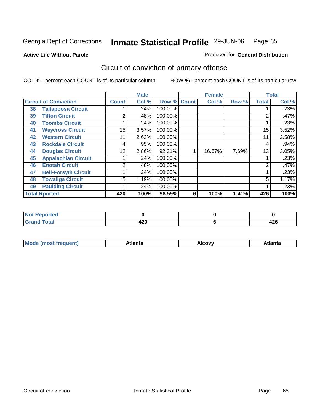Produced for **General Distribution**

### **Active Life Without Parole**

# Circuit of conviction of primary offense

|    |                              |                | <b>Male</b> |                    |   | <b>Female</b> |       |              | <b>Total</b> |
|----|------------------------------|----------------|-------------|--------------------|---|---------------|-------|--------------|--------------|
|    | <b>Circuit of Conviction</b> | <b>Count</b>   | Col %       | <b>Row % Count</b> |   | Col %         | Row % | <b>Total</b> | Col %        |
| 38 | <b>Tallapoosa Circuit</b>    |                | .24%        | 100.00%            |   |               |       |              | .23%         |
| 39 | <b>Tifton Circuit</b>        | 2              | .48%        | 100.00%            |   |               |       | 2            | .47%         |
| 40 | <b>Toombs Circuit</b>        |                | .24%        | 100.00%            |   |               |       |              | .23%         |
| 41 | <b>Waycross Circuit</b>      | 15             | 3.57%       | 100.00%            |   |               |       | 15           | 3.52%        |
| 42 | <b>Western Circuit</b>       | 11             | 2.62%       | 100.00%            |   |               |       | 11           | 2.58%        |
| 43 | <b>Rockdale Circuit</b>      | 4              | .95%        | 100.00%            |   |               |       | 4            | .94%         |
| 44 | <b>Douglas Circuit</b>       | 12             | 2.86%       | 92.31%             |   | 16.67%        | 7.69% | 13           | 3.05%        |
| 45 | <b>Appalachian Circuit</b>   |                | .24%        | 100.00%            |   |               |       |              | .23%         |
| 46 | <b>Enotah Circuit</b>        | $\overline{2}$ | .48%        | 100.00%            |   |               |       | 2            | .47%         |
| 47 | <b>Bell-Forsyth Circuit</b>  |                | .24%        | 100.00%            |   |               |       |              | .23%         |
| 48 | <b>Towaliga Circuit</b>      | 5              | 1.19%       | 100.00%            |   |               |       | 5            | 1.17%        |
| 49 | <b>Paulding Circuit</b>      |                | .24%        | 100.00%            |   |               |       | 4            | .23%         |
|    | <b>Total Rported</b>         | 420            | 100%        | 98.59%             | 6 | 100%          | 1.41% | 426          | 100%         |

| prtea<br><b>NOT KED</b> |             |                |
|-------------------------|-------------|----------------|
|                         | חרו<br>44 U | .<br>.<br>44 U |

| `M∩<br>чит. | .<br>на | AICOVV<br>$\sim$ $\sim$ $\sim$ | Atlanta |
|-------------|---------|--------------------------------|---------|
|             |         |                                |         |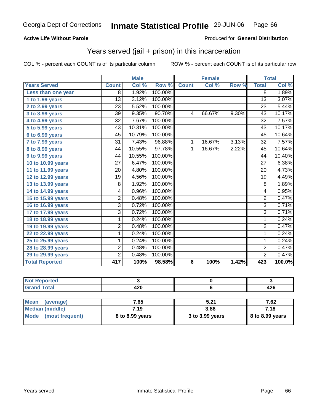#### **Active Life Without Parole**

#### Produced for **General Distribution**

### Years served (jail + prison) in this incarceration

|                       |                 | <b>Male</b> |         |              | <b>Female</b> |       |                 | <b>Total</b> |
|-----------------------|-----------------|-------------|---------|--------------|---------------|-------|-----------------|--------------|
| <b>Years Served</b>   | <b>Count</b>    | Col %       | Row %   | <b>Count</b> | Col %         | Row % | <b>Total</b>    | Col %        |
| Less than one year    | 8               | 1.92%       | 100.00% |              |               |       | 8               | 1.89%        |
| 1 to 1.99 years       | $\overline{13}$ | 3.12%       | 100.00% |              |               |       | $\overline{13}$ | 3.07%        |
| 2 to 2.99 years       | 23              | 5.52%       | 100.00% |              |               |       | 23              | 5.44%        |
| 3 to 3.99 years       | 39              | 9.35%       | 90.70%  | 4            | 66.67%        | 9.30% | 43              | 10.17%       |
| 4 to 4.99 years       | 32              | 7.67%       | 100.00% |              |               |       | $\overline{32}$ | 7.57%        |
| 5 to 5.99 years       | $\overline{43}$ | 10.31%      | 100.00% |              |               |       | $\overline{43}$ | 10.17%       |
| 6 to 6.99 years       | 45              | 10.79%      | 100.00% |              |               |       | $\overline{45}$ | 10.64%       |
| 7 to 7.99 years       | $\overline{31}$ | 7.43%       | 96.88%  | 1            | 16.67%        | 3.13% | $\overline{32}$ | 7.57%        |
| 8 to 8.99 years       | 44              | 10.55%      | 97.78%  | 1            | 16.67%        | 2.22% | 45              | 10.64%       |
| 9 to 9.99 years       | 44              | 10.55%      | 100.00% |              |               |       | 44              | 10.40%       |
| 10 to 10.99 years     | 27              | 6.47%       | 100.00% |              |               |       | 27              | 6.38%        |
| 11 to 11.99 years     | 20              | 4.80%       | 100.00% |              |               |       | 20              | 4.73%        |
| 12 to 12.99 years     | 19              | 4.56%       | 100.00% |              |               |       | 19              | 4.49%        |
| 13 to 13.99 years     | 8               | 1.92%       | 100.00% |              |               |       | 8               | 1.89%        |
| 14 to 14.99 years     | 4               | 0.96%       | 100.00% |              |               |       | 4               | 0.95%        |
| 15 to 15.99 years     | $\overline{2}$  | 0.48%       | 100.00% |              |               |       | $\overline{2}$  | 0.47%        |
| 16 to 16.99 years     | 3               | 0.72%       | 100.00% |              |               |       | $\overline{3}$  | 0.71%        |
| 17 to 17.99 years     | $\overline{3}$  | 0.72%       | 100.00% |              |               |       | $\overline{3}$  | 0.71%        |
| 18 to 18.99 years     | 1               | 0.24%       | 100.00% |              |               |       | 1               | 0.24%        |
| 19 to 19.99 years     | $\overline{c}$  | 0.48%       | 100.00% |              |               |       | $\overline{2}$  | 0.47%        |
| 22 to 22.99 years     | 1               | 0.24%       | 100.00% |              |               |       | 1               | 0.24%        |
| 25 to 25.99 years     | 1               | 0.24%       | 100.00% |              |               |       | $\mathbf{1}$    | 0.24%        |
| 28 to 28.99 years     | 2               | 0.48%       | 100.00% |              |               |       | $\overline{2}$  | 0.47%        |
| 29 to 29.99 years     | $\overline{2}$  | 0.48%       | 100.00% |              |               |       | $\overline{2}$  | 0.47%        |
| <b>Total Reported</b> | 417             | 100%        | 98.58%  | 6            | 100%          | 1.42% | 423             | 100.0%       |

| the state of the<br>Ten |               |         |
|-------------------------|---------------|---------|
| $T \cap f \cap f$       | 420<br>$\sim$ | <br>−∠∪ |

| <b>Mean</b><br>(average) | 7.65            | 5.21            | 7.62              |
|--------------------------|-----------------|-----------------|-------------------|
| Median (middle)          | 7.19            | 3.86            | 7.18              |
| Mode (most frequent)     | 8 to 8.99 years | 3 to 3.99 years | $8$ to 8.99 years |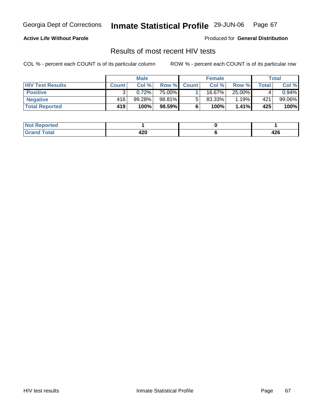#### **Active Life Without Parole**

Produced for **General Distribution**

### Results of most recent HIV tests

|                         | <b>Male</b>  |        |                 | <b>Female</b>  |        |          | Total |             |
|-------------------------|--------------|--------|-----------------|----------------|--------|----------|-------|-------------|
| <b>HIV Test Results</b> | <b>Count</b> | Col %  | Row %           | <b>Count</b> Ⅰ | Col %  | Row %    | Total | Col %       |
| <b>Positive</b>         |              | 0.72%  | 75.00%          |                | 16.67% | 25.00%   |       | $0.94\%$    |
| <b>Negative</b>         | 416          | 99.28% | 98.81% <b>I</b> |                | 83.33% | 1.19%    | 421   | 99.06%      |
| <b>Total Reported</b>   | 419          | 100%   | 98.59%          |                | 100%   | $1.41\%$ | 425   | <b>100%</b> |

| <b>Not Reported</b>   |     |             |
|-----------------------|-----|-------------|
| <b>Total</b><br>Grand | 420 | 10C<br>44 U |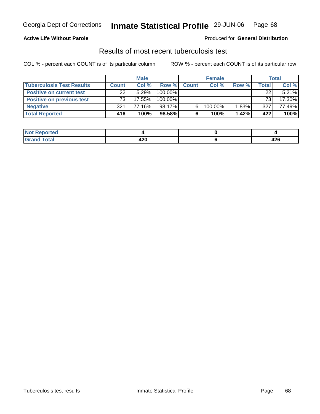#### **Active Life Without Parole**

#### Produced for **General Distribution**

### Results of most recent tuberculosis test

|                                  | <b>Male</b>  |        |         |             | <b>Female</b> |       | <b>Total</b> |          |
|----------------------------------|--------------|--------|---------|-------------|---------------|-------|--------------|----------|
| <b>Tuberculosis Test Results</b> | <b>Count</b> | Col%   |         | Row % Count | Col%          | Row % | Total        | Col %    |
| <b>Positive on current test</b>  | 22           | 5.29%  | 100.00% |             |               |       | 22           | $5.21\%$ |
| <b>Positive on previous test</b> | 73           | 17.55% | 100.00% |             |               |       | 73           | 17.30%   |
| <b>Negative</b>                  | 321          | 77.16% | 98.17%  | 6.          | 100.00%       | 1.83% | 327          | 77.49%   |
| <b>Total Reported</b>            | 416          | 100%   | 98.58%I |             | 100%          | 1.42% | 422          | 100%     |

| <b>Reported</b><br><b>NOT</b> |     |             |
|-------------------------------|-----|-------------|
| <b>c</b> otal<br>_____        | 420 | 12c<br>44 U |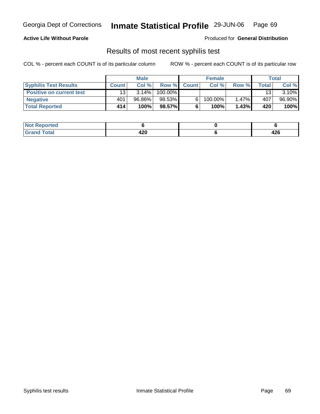#### **Active Life Without Parole**

Produced for **General Distribution**

### Results of most recent syphilis test

|                                 | <b>Male</b>  |        |         |             | <b>Female</b> |       | Total |          |
|---------------------------------|--------------|--------|---------|-------------|---------------|-------|-------|----------|
| <b>Syphilis Test Results</b>    | <b>Count</b> | Col %  |         | Row % Count | Col %         | Row % | Total | Col %    |
| <b>Positive on current test</b> | 13           | 3.14%  | 100.00% |             |               |       | 13    | $3.10\%$ |
| <b>Negative</b>                 | 401          | 96.86% | 98.53%  |             | 100.00%       | 1.47% | 407   | 96.90%   |
| <b>Total Reported</b>           | 414          | 100%   | 98.57%  |             | 100%          | 1.43% | 420   | 100%     |

| <b>Not Reported</b> |            |            |
|---------------------|------------|------------|
| <b>Total</b>        | חרו<br>42V | 10C<br>44O |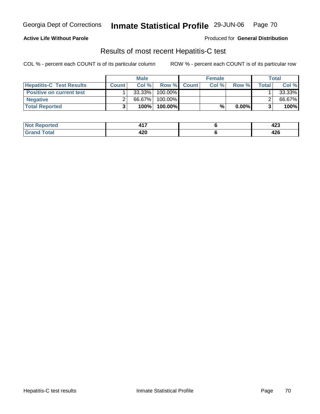#### **Active Life Without Parole**

Produced for **General Distribution**

### Results of most recent Hepatitis-C test

|                                 | <b>Male</b> |           |          | <b>Female</b> |       |          | Total        |        |
|---------------------------------|-------------|-----------|----------|---------------|-------|----------|--------------|--------|
| <b>Hepatitis-C Test Results</b> | Count       | Col%      |          | Row % Count   | Col % | Row %    | <b>Total</b> | Col %  |
| <b>Positive on current test</b> |             | $33.33\%$ | 100.00%  |               |       |          |              | 33.33% |
| <b>Negative</b>                 |             | 66.67%    | 100.00%  |               |       |          |              | 66.67% |
| <b>Total Reported</b>           |             | 100%      | 100.00%l |               | %     | $0.00\%$ |              | 100%   |

| Not I                       | .   | ,          |
|-----------------------------|-----|------------|
| ⊀eported                    |     | 443        |
| <b>Total</b><br>$\cdot$ Grs | 420 | 10C<br>44O |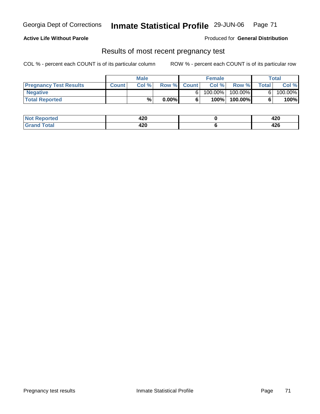#### **Active Life Without Parole**

Produced for **General Distribution**

### Results of most recent pregnancy test

|                               | <b>Male</b> |      |          | <b>Female</b> |            | Total      |                |         |
|-------------------------------|-------------|------|----------|---------------|------------|------------|----------------|---------|
| <b>Pregnancy Test Results</b> | Count       | Col% |          | Row % Count   | Col %      | Row %      | <b>Total</b> I | Col %   |
| <b>Negative</b>               |             |      |          |               | $100.00\%$ | $100.00\%$ |                | 100.00% |
| <b>Total Reported</b>         |             | %    | $0.00\%$ |               | 100%       | 100.00%    |                | 100%    |

| <b>Not Re</b><br>Reported      | 420 | <br>44 U |
|--------------------------------|-----|----------|
| <b>fotal</b><br>C <sub>r</sub> | 420 | .<br>44U |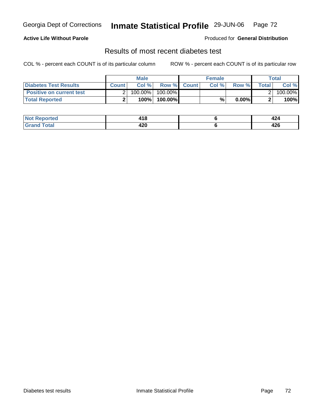#### **Active Life Without Parole**

#### Produced for **General Distribution**

### Results of most recent diabetes test

|                                 | <b>Male</b> |         |                    | <b>Female</b> |          |         | Total   |  |
|---------------------------------|-------------|---------|--------------------|---------------|----------|---------|---------|--|
| Diabetes Test Results           | Count       | Col %   | <b>Row % Count</b> | Col %         | Row %    | Total l | Col %   |  |
| <b>Positive on current test</b> |             | 100.00% | 100.00% I          |               |          |         | 100.00% |  |
| <b>Total Reported</b>           |             | 100%    | 100.00%            | %             | $0.00\%$ |         | 100%    |  |

| ported                | 1 A O | $\ddot{\phantom{1}}$ |
|-----------------------|-------|----------------------|
| I NOT                 | 410   | 424                  |
| <b>Total</b><br>. Grs | 420   | ハつじ<br>44 U          |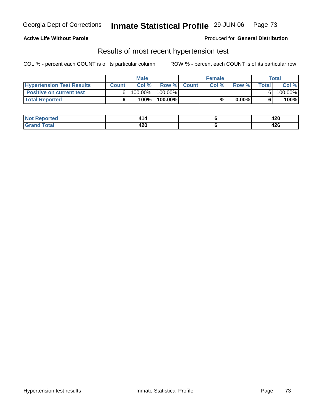# Georgia Dept of Corrections **Inmate Statistical Profile** 29-JUN-06 Page 73

### **Active Life Without Parole**

Produced for **General Distribution**

### Results of most recent hypertension test

COL % - percent each COUNT is of its particular column ROW % - percent each COUNT is of its particular row

|                                  | <b>Male</b>  |            |           | <b>Female</b> |      |          | Total |         |
|----------------------------------|--------------|------------|-----------|---------------|------|----------|-------|---------|
| <b>Hypertension Test Results</b> | <b>Count</b> | Col %      |           | Row % Count   | Col% | Row %    | Total | Col %   |
| <b>Positive on current test</b>  |              | $100.00\%$ | 100.00% I |               |      |          |       | 100.00% |
| <b>Total Reported</b>            |              | 100%       | 100.00%   |               | %    | $0.00\%$ |       | 100%    |

| orted | -          | חרו<br>44V |
|-------|------------|------------|
| intal | 106<br>42V | <br>44 U   |